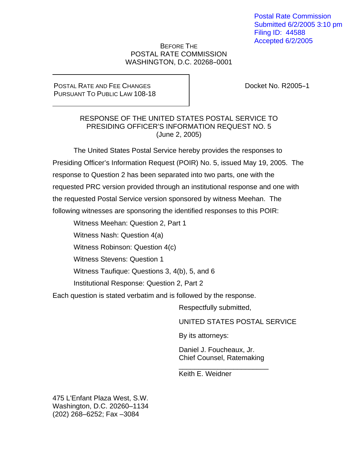Postal Rate Commission Submitted 6/2/2005 3:10 pm Filing ID: 44588 Accepted 6/2/2005

#### BEFORE THE POSTAL RATE COMMISSION WASHINGTON, D.C. 20268-0001

#### POSTAL RATE AND FEE CHANGES PURSUANT TO PUBLIC LAW 108-18

Docket No. R2005-1

#### RESPONSE OF THE UNITED STATES POSTAL SERVICE TO PRESIDING OFFICER'S INFORMATION REQUEST NO. 5 (June 2, 2005)

 The United States Postal Service hereby provides the responses to Presiding Officer's Information Request (POIR) No. 5, issued May 19, 2005. The response to Question 2 has been separated into two parts, one with the requested PRC version provided through an institutional response and one with the requested Postal Service version sponsored by witness Meehan. The following witnesses are sponsoring the identified responses to this POIR:

Witness Meehan: Question 2, Part 1

Witness Nash: Question 4(a)

Witness Robinson: Question 4(c)

Witness Stevens: Question 1

Witness Taufique: Questions 3, 4(b), 5, and 6

Institutional Response: Question 2, Part 2

Each question is stated verbatim and is followed by the response.

Respectfully submitted,

UNITED STATES POSTAL SERVICE

By its attorneys:

Daniel J. Foucheaux, Jr. Chief Counsel, Ratemaking

\_\_\_\_\_\_\_\_\_\_\_\_\_\_\_\_\_\_\_\_\_\_\_

Keith E. Weidner

475 L'Enfant Plaza West, S.W. Washington, D.C. 20260–1134 (202) 268–6252; Fax –3084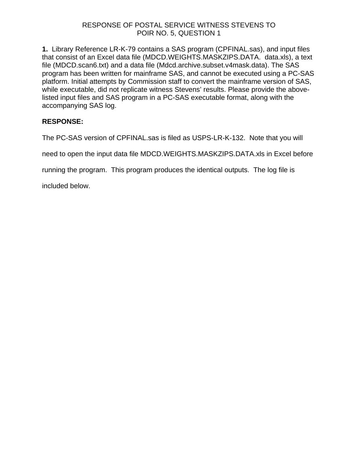**1.** Library Reference LR-K-79 contains a SAS program (CPFINAL.sas), and input files that consist of an Excel data file (MDCD.WEIGHTS.MASKZIPS.DATA. data.xls), a text file (MDCD.scan6.txt) and a data file (Mdcd.archive.subset.v4mask.data). The SAS program has been written for mainframe SAS, and cannot be executed using a PC-SAS platform. Initial attempts by Commission staff to convert the mainframe version of SAS, while executable, did not replicate witness Stevens' results. Please provide the abovelisted input files and SAS program in a PC-SAS executable format, along with the accompanying SAS log.

### **RESPONSE:**

The PC-SAS version of CPFINAL.sas is filed as USPS-LR-K-132. Note that you will

need to open the input data file MDCD.WEIGHTS.MASKZIPS.DATA.xls in Excel before

running the program. This program produces the identical outputs. The log file is

included below.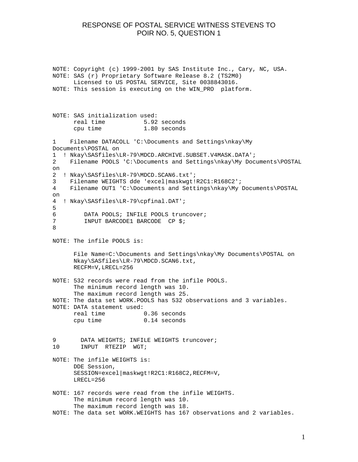NOTE: Copyright (c) 1999-2001 by SAS Institute Inc., Cary, NC, USA. NOTE: SAS (r) Proprietary Software Release 8.2 (TS2M0) Licensed to US POSTAL SERVICE, Site 0038843016. NOTE: This session is executing on the WIN\_PRO platform. NOTE: SAS initialization used: real time 5.92 seconds cpu time 1.80 seconds 1 Filename DATACOLL 'C:\Documents and Settings\nkay\My Documents\POSTAL on 1 ! Nkay\SASfiles\LR-79\MDCD.ARCHIVE.SUBSET.V4MASK.DATA'; 2 Filename POOLS 'C:\Documents and Settings\nkay\My Documents\POSTAL on 2 ! Nkay\SASfiles\LR-79\MDCD.SCAN6.txt'; 3 Filename WEIGHTS dde 'excel|maskwgt!R2C1:R168C2'; 4 Filename OUT1 'C:\Documents and Settings\nkay\My Documents\POSTAL on 4 ! Nkay\SASfiles\LR-79\cpfinal.DAT'; 5 6 DATA POOLS; INFILE POOLS truncover;<br>7 INPUT BARCODE1 BARCODE CP \$; INPUT BARCODE1 BARCODE CP \$; 8 NOTE: The infile POOLS is: File Name=C:\Documents and Settings\nkay\My Documents\POSTAL on Nkay\SASfiles\LR-79\MDCD.SCAN6.txt, RECFM=V,LRECL=256 NOTE: 532 records were read from the infile POOLS. The minimum record length was 10. The maximum record length was 25. NOTE: The data set WORK.POOLS has 532 observations and 3 variables. NOTE: DATA statement used: real time 0.36 seconds cpu time 0.14 seconds 9 DATA WEIGHTS; INFILE WEIGHTS truncover; 10 INPUT RTEZIP WGT; NOTE: The infile WEIGHTS is: DDE Session, SESSION=excel|maskwgt!R2C1:R168C2,RECFM=V, LRECL=256 NOTE: 167 records were read from the infile WEIGHTS. The minimum record length was 10. The maximum record length was 18. NOTE: The data set WORK.WEIGHTS has 167 observations and 2 variables.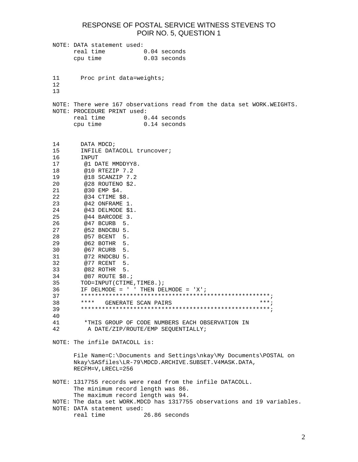NOTE: DATA statement used: real time 0.04 seconds cpu time 0.03 seconds 11 Proc print data=weights; 12 13 NOTE: There were 167 observations read from the data set WORK.WEIGHTS. NOTE: PROCEDURE PRINT used: real time 0.44 seconds cpu time 0.14 seconds 14 DATA MDCD; 15 INFILE DATACOLL truncover; 16 INPUT<br>17 @1 Di @1 DATE MMDDYY8. 18 @10 RTEZIP 7.2 19 @18 SCANZIP 7.2 20 @28 ROUTENO \$2. 21 @30 EMP \$4. 22 @34 CTIME \$8. 23 @42 ONFRAME 1. 24 @43 DELMODE \$1. 25 @44 BARCODE 3. 26 @47 BCURB 5. 27 @52 BNDCBU 5. 28 @57 BCENT 5. 29 @62 BOTHR 5. 30 @67 RCURB 5. 31 @72 RNDCBU 5. 32 @77 RCENT 5. 33 @82 ROTHR 5. 34 @87 ROUTE \$8.; 35 TOD=INPUT(CTIME,TIME8.); 36 IF DELMODE = ' ' THEN DELMODE = 'X'; 37 \*\*\*\*\*\*\*\*\*\*\*\*\*\*\*\*\*\*\*\*\*\*\*\*\*\*\*\*\*\*\*\*\*\*\*\*\*\*\*\*\*\*\*\*\*\*\*\*\*\*\*\*\*\*; 38 \*\*\*\* GENERATE SCAN PAIRS 39 \*\*\*\*\*\*\*\*\*\*\*\*\*\*\*\*\*\*\*\*\*\*\*\*\*\*\*\*\*\*\*\*\*\*\*\*\*\*\*\*\*\*\*\*\*\*\*\*\*\*\*\*\*\*; 40 \*THIS GROUP OF CODE NUMBERS EACH OBSERVATION IN 42 A DATE/ZIP/ROUTE/EMP SEQUENTIALLY; NOTE: The infile DATACOLL is: File Name=C:\Documents and Settings\nkay\My Documents\POSTAL on Nkay\SASfiles\LR-79\MDCD.ARCHIVE.SUBSET.V4MASK.DATA, RECFM=V,LRECL=256 NOTE: 1317755 records were read from the infile DATACOLL. The minimum record length was 86. The maximum record length was 94. NOTE: The data set WORK.MDCD has 1317755 observations and 19 variables. NOTE: DATA statement used:<br>real time ( 26.86 seconds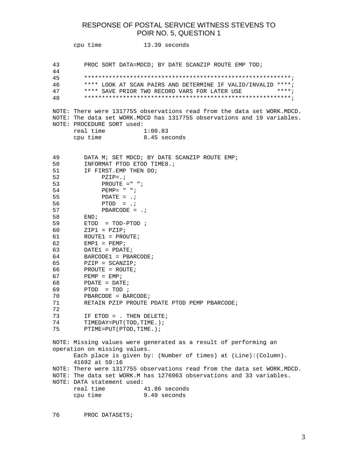```
 cpu time 13.39 seconds
```
43 PROC SORT DATA=MDCD; BY DATE SCANZIP ROUTE EMP TOD;

44 45 \*\*\*\*\*\*\*\*\*\*\*\*\*\*\*\*\*\*\*\*\*\*\*\*\*\*\*\*\*\*\*\*\*\*\*\*\*\*\*\*\*\*\*\*\*\*\*\*\*\*\*\*\*\*\*\*\*\*\*;

46 \*\*\*\* LOOK AT SCAN PAIRS AND DETERMINE IF VALID/INVALID \*\*\*\*;

47 \*\*\*\* SAVE PRIOR TWO RECORD VARS FOR LATER USE \*\*\*\*;

48 \*\*\*\*\*\*\*\*\*\*\*\*\*\*\*\*\*\*\*\*\*\*\*\*\*\*\*\*\*\*\*\*\*\*\*\*\*\*\*\*\*\*\*\*\*\*\*\*\*\*\*\*\*\*\*\*\*\*\*;

NOTE: There were 1317755 observations read from the data set WORK.MDCD. NOTE: The data set WORK.MDCD has 1317755 observations and 19 variables. NOTE: PROCEDURE SORT used:<br>real time 1:00.83 real time 1:00.83

cpu time 8.45 seconds

| 49 | DATA M; SET MDCD; BY DATE SCANZIP ROUTE EMP;                            |
|----|-------------------------------------------------------------------------|
| 50 | INFORMAT PTOD ETOD TIME8.;                                              |
| 51 | IF FIRST.EMP THEN DO;                                                   |
| 52 | $PZIP = . ;$                                                            |
| 53 | PROUTE $=$ " ";                                                         |
| 54 | $PEMP = " "$                                                            |
| 55 | $PDATE = .7$                                                            |
| 56 | $PTOD = .;$                                                             |
| 57 | PBARCODE = $\cdot$ ;                                                    |
| 58 | END:                                                                    |
| 59 | $ETOD = TOD-PTOD ;$                                                     |
| 60 | $ZIP1 = PZIP;$                                                          |
| 61 | $ROUTE1 = PROUTE$                                                       |
| 62 | $EMP1 = PEMP;$                                                          |
| 63 | $DATA = PDATE;$                                                         |
| 64 | $BARCODE1 = PBARCODE$ ;                                                 |
| 65 | $PZIP = SCANZIP;$                                                       |
| 66 | PROUTE = $ROUTE$ ;                                                      |
| 67 | $PEMP = EMP;$                                                           |
| 68 | $PDATE = DATE$                                                          |
| 69 | $PTOD = TOD ;$                                                          |
| 70 | $PBARCODE = BARCODE$                                                    |
| 71 | RETAIN PZIP PROUTE PDATE PTOD PEMP PBARCODE;                            |
| 72 |                                                                         |
| 73 | IF ETOD = . THEN DELETE;                                                |
| 74 | TIMEDAY=PUT(TOD, TIME.);                                                |
| 75 | PTIME=PUT(PTOD, TIME.);                                                 |
|    |                                                                         |
|    | NOTE: Missing values were generated as a result of performing an        |
|    | operation on missing values.                                            |
|    | Each place is given by: (Number of times) at (Line): (Column).          |
|    | 41692 at 59:16                                                          |
|    | NOTE: There were 1317755 observations read from the data set WORK.MDCD. |
|    | NOTE: The data set WORK.M has 1276063 observations and 33 variables.    |
|    | NOTE: DATA statement used:                                              |
|    | real time<br>41.86 seconds                                              |
|    | cpu time<br>9.49 seconds                                                |
|    |                                                                         |

76 PROC DATASETS;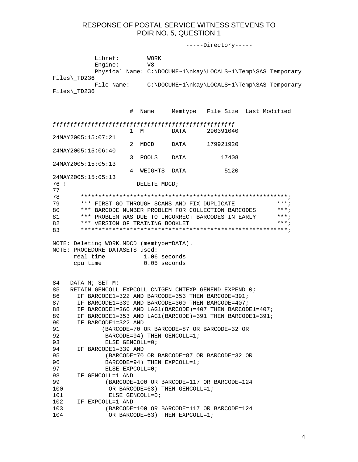-----Directory----- Libref: WORK Engine: V8 Physical Name: C:\DOCUME~1\nkay\LOCALS~1\Temp\SAS Temporary Files\\_TD236 File Name: C:\DOCUME~1\nkay\LOCALS~1\Temp\SAS Temporary Files\\_TD236 # Name Memtype File Size Last Modified ƒƒƒƒƒƒƒƒƒƒƒƒƒƒƒƒƒƒƒƒƒƒƒƒƒƒƒƒƒƒƒƒƒƒƒƒƒƒƒƒƒƒƒƒƒƒƒƒƒƒƒƒ 1 M DATA 290391040 24MAY2005:15:07:21 2 MDCD DATA 179921920 24MAY2005:15:06:40 3 POOLS DATA 17408 24MAY2005:15:05:13 4 WEIGHTS DATA 5120 24MAY2005:15:05:13 76 ! DELETE MDCD; 77 78 \*\*\*\*\*\*\*\*\*\*\*\*\*\*\*\*\*\*\*\*\*\*\*\*\*\*\*\*\*\*\*\*\*\*\*\*\*\*\*\*\*\*\*\*\*\*\*\*\*\*\*\*\*\*\*\*\*\*\*; 79 \*\*\* FIRST GO THROUGH SCANS AND FIX DUPLICATE \*\*\*; 80 \*\*\* BARCODE NUMBER PROBLEM FOR COLLECTION BARCODES \*\*\*; 81 \*\*\* PROBLEM WAS DUE TO INCORRECT BARCODES IN EARLY \*\*\*; 82 \*\*\* VERSION OF TRAINING BOOKLET \*\*\*; 83 \*\*\*\*\*\*\*\*\*\*\*\*\*\*\*\*\*\*\*\*\*\*\*\*\*\*\*\*\*\*\*\*\*\*\*\*\*\*\*\*\*\*\*\*\*\*\*\*\*\*\*\*\*\*\*\*\*\*\*; NOTE: Deleting WORK.MDCD (memtype=DATA). NOTE: PROCEDURE DATASETS used: real time 1.06 seconds cpu time 0.05 seconds 84 DATA M; SET M; 85 RETAIN GENCOLL EXPCOLL CNTGEN CNTEXP GENEND EXPEND 0; 86 IF BARCODE1=322 AND BARCODE=353 THEN BARCODE=391; 87 IF BARCODE1=339 AND BARCODE=360 THEN BARCODE=407; 88 IF BARCODE1=360 AND LAG1(BARCODE)=407 THEN BARCODE1=407; 89 IF BARCODE1=353 AND LAG1(BARCODE)=391 THEN BARCODE1=391; 90 IF BARCODE1=322 AND 91 (BARCODE=70 OR BARCODE=87 OR BARCODE=32 OR 92 BARCODE=94) THEN GENCOLL=1; 93 ELSE GENCOLL=0; 94 IF BARCODE1=339 AND 95 (BARCODE=70 OR BARCODE=87 OR BARCODE=32 OR 96 BARCODE=94) THEN EXPCOLL=1; 97 ELSE EXPCOLL=0; 98 IF GENCOLL=1 AND 99 (BARCODE=100 OR BARCODE=117 OR BARCODE=124 100 OR BARCODE=63) THEN GENCOLL=1; 101 ELSE GENCOLL=0; 102 IF EXPCOLL=1 AND 103 (BARCODE=100 OR BARCODE=117 OR BARCODE=124 104 OR BARCODE=63) THEN EXPCOLL=1;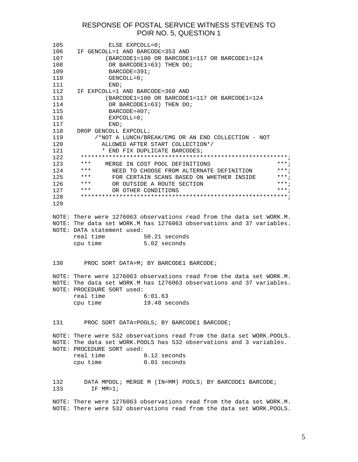| 105<br>106<br>107<br>108<br>109<br>110<br>111                                                                                                                                                                                   | ELSE EXPCOLL=0;<br>IF GENCOLL=1 AND BARCODE=353 AND<br>(BARCODE1=100 OR BARCODE1=117 OR BARCODE1=124<br>OR BARCODE1=63) THEN DO;<br>$BARCODE = 391;$<br>GENCOLL= $0;$<br>END;                                                        |
|---------------------------------------------------------------------------------------------------------------------------------------------------------------------------------------------------------------------------------|--------------------------------------------------------------------------------------------------------------------------------------------------------------------------------------------------------------------------------------|
| 112<br>113<br>114<br>115<br>116<br>117                                                                                                                                                                                          | IF EXPCOLL=1 AND BARCODE=360 AND<br>$(BARCODE1=100$ OR BARCODE1=117 OR BARCODE1=124<br>OR BARCODE1=63) THEN DO;<br>$BARCODE = 407;$<br>$EXPCOLL=0;$<br>END;                                                                          |
| 118<br>119<br>120<br>121<br>122                                                                                                                                                                                                 | DROP GENCOLL EXPCOLL;<br>/*NOT A LUNCH/BREAK/EMG OR AN END COLLECTION - NOT<br>ALLOWED AFTER START COLLECTION*/<br>* END FIX DUPLICATE BARCODES;                                                                                     |
| 123<br>124<br>125                                                                                                                                                                                                               | * * *<br>$***;$<br>MERGE IN COST POOL DEFINITIONS<br>$***$ ;<br>***<br>NEED TO CHOOSE FROM ALTERNATE DEFINITION<br>***<br>$***;$<br>FOR CERTAIN SCANS BASED ON WHETHER INSIDE                                                        |
| 126<br>127<br>128                                                                                                                                                                                                               | * * *<br>OR OUTSIDE A ROUTE SECTION<br>$***;$<br>* * *<br>$***;$<br>OR OTHER CONDITIONS                                                                                                                                              |
| 129                                                                                                                                                                                                                             | NOTE: There were 1276063 observations read from the data set WORK.M.<br>NOTE: The data set WORK.M has 1276063 observations and 37 variables.<br>NOTE: DATA statement used:<br>real time<br>50.21 seconds<br>5.02 seconds<br>cpu time |
| 130                                                                                                                                                                                                                             | PROC SORT DATA=M; BY BARCODE1 BARCODE;                                                                                                                                                                                               |
|                                                                                                                                                                                                                                 | NOTE: There were 1276063 observations read from the data set WORK.M.<br>NOTE: The data set WORK.M has 1276063 observations and 37 variables.<br>NOTE: PROCEDURE SORT used:<br>real time<br>6:01.63<br>cpu time<br>19.48 seconds      |
| 131 — 131 — 131 — 131 — 132 — 132 — 132 — 132 — 132 — 132 — 132 — 132 — 132 — 132 — 132 — 132 — 132 — 132 — 132 — 133 — 133 — 133 — 133 — 133 — 133 — 133 — 133 — 133 — 133 — 133 — 133 — 133 — 133 — 133 — 133 — 133 — 133 — 1 | PROC SORT DATA=POOLS; BY BARCODE1 BARCODE;                                                                                                                                                                                           |
|                                                                                                                                                                                                                                 | NOTE: There were 532 observations read from the data set WORK.POOLS.<br>NOTE: The data set WORK. POOLS has 532 observations and 3 variables.<br>NOTE: PROCEDURE SORT used:<br>real time<br>0.12 seconds                              |
|                                                                                                                                                                                                                                 | $0.01$ seconds<br>cpu time                                                                                                                                                                                                           |
| 132<br>133                                                                                                                                                                                                                      | DATA MPOOL; MERGE M (IN=MM) POOLS; BY BARCODE1 BARCODE;<br>$IF$ MM=1;                                                                                                                                                                |
|                                                                                                                                                                                                                                 | NOTE: There were 1276063 observations read from the data set WORK.M.                                                                                                                                                                 |

NOTE: There were 532 observations read from the data set WORK.POOLS.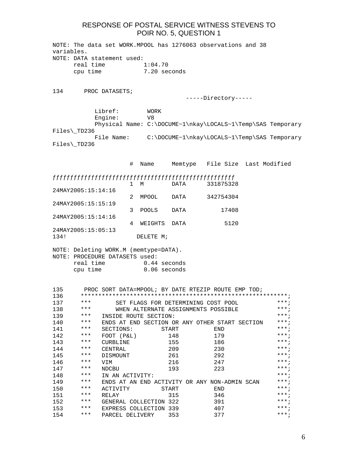| variables. |                      |                                       |                        |       | NOTE: The data set WORK. MPOOL has 1276063 observations and 38                                                                                                                                                                                                                                                                                                                                                                                                                            |                                                             |
|------------|----------------------|---------------------------------------|------------------------|-------|-------------------------------------------------------------------------------------------------------------------------------------------------------------------------------------------------------------------------------------------------------------------------------------------------------------------------------------------------------------------------------------------------------------------------------------------------------------------------------------------|-------------------------------------------------------------|
|            |                      | NOTE: DATA statement used:            |                        |       |                                                                                                                                                                                                                                                                                                                                                                                                                                                                                           |                                                             |
|            | real time            |                                       | 1:04.70                |       |                                                                                                                                                                                                                                                                                                                                                                                                                                                                                           |                                                             |
|            | cpu time             |                                       | 7.20 seconds           |       |                                                                                                                                                                                                                                                                                                                                                                                                                                                                                           |                                                             |
|            |                      |                                       |                        |       |                                                                                                                                                                                                                                                                                                                                                                                                                                                                                           |                                                             |
| 134        |                      | PROC DATASETS;                        |                        |       |                                                                                                                                                                                                                                                                                                                                                                                                                                                                                           |                                                             |
|            |                      |                                       |                        |       | -----Directory-----                                                                                                                                                                                                                                                                                                                                                                                                                                                                       |                                                             |
|            |                      |                                       |                        |       |                                                                                                                                                                                                                                                                                                                                                                                                                                                                                           |                                                             |
|            |                      | Libref:                               | <b>WORK</b>            |       |                                                                                                                                                                                                                                                                                                                                                                                                                                                                                           |                                                             |
|            |                      | Engine:                               | V8                     |       |                                                                                                                                                                                                                                                                                                                                                                                                                                                                                           |                                                             |
|            |                      |                                       |                        |       |                                                                                                                                                                                                                                                                                                                                                                                                                                                                                           | Physical Name: C:\DOCUME~1\nkay\LOCALS~1\Temp\SAS Temporary |
|            | Files\_TD236         |                                       |                        |       |                                                                                                                                                                                                                                                                                                                                                                                                                                                                                           |                                                             |
|            | $Files\rangle_TD236$ |                                       |                        |       |                                                                                                                                                                                                                                                                                                                                                                                                                                                                                           | File Name: C:\DOCUME~1\nkay\LOCALS~1\Temp\SAS Temporary     |
|            |                      |                                       |                        |       |                                                                                                                                                                                                                                                                                                                                                                                                                                                                                           |                                                             |
|            |                      |                                       |                        |       |                                                                                                                                                                                                                                                                                                                                                                                                                                                                                           |                                                             |
|            |                      |                                       | Name<br>#              |       |                                                                                                                                                                                                                                                                                                                                                                                                                                                                                           | Memtype File Size Last Modified                             |
|            |                      |                                       |                        |       | $\label{def:thm:main} \begin{minip} \quad \texttt{f} \quad \texttt{f} \quad \texttt{f} \quad \texttt{f} \quad \texttt{f} \quad \texttt{f} \quad \texttt{f} \quad \texttt{f} \quad \texttt{f} \quad \texttt{f} \quad \texttt{f} \quad \texttt{f} \quad \texttt{f} \quad \texttt{f} \quad \texttt{f} \quad \texttt{f} \quad \texttt{f} \quad \texttt{f} \quad \texttt{f} \quad \texttt{f} \quad \texttt{f} \quad \texttt{f} \quad \texttt{f} \quad \texttt{f} \quad \texttt{f} \quad \text$ |                                                             |
|            |                      |                                       | $\mathbf{1}$<br>M      | DATA  | 331875328                                                                                                                                                                                                                                                                                                                                                                                                                                                                                 |                                                             |
|            | 24MAY2005:15:14:16   |                                       |                        |       |                                                                                                                                                                                                                                                                                                                                                                                                                                                                                           |                                                             |
|            |                      |                                       | 2<br>MPOOL             | DATA  | 342754304                                                                                                                                                                                                                                                                                                                                                                                                                                                                                 |                                                             |
|            | 24MAY2005:15:15:19   |                                       |                        |       |                                                                                                                                                                                                                                                                                                                                                                                                                                                                                           |                                                             |
|            | 24MAY2005:15:14:16   |                                       | 3<br><b>POOLS</b>      | DATA  | 17408                                                                                                                                                                                                                                                                                                                                                                                                                                                                                     |                                                             |
|            |                      |                                       | 4<br>WEIGHTS           | DATA  | 5120                                                                                                                                                                                                                                                                                                                                                                                                                                                                                      |                                                             |
|            | 24MAY2005:15:05:13   |                                       |                        |       |                                                                                                                                                                                                                                                                                                                                                                                                                                                                                           |                                                             |
| 134!       |                      |                                       | DELETE M;              |       |                                                                                                                                                                                                                                                                                                                                                                                                                                                                                           |                                                             |
|            |                      |                                       |                        |       |                                                                                                                                                                                                                                                                                                                                                                                                                                                                                           |                                                             |
|            |                      | NOTE: Deleting WORK.M (memtype=DATA). |                        |       |                                                                                                                                                                                                                                                                                                                                                                                                                                                                                           |                                                             |
|            |                      | NOTE: PROCEDURE DATASETS used:        |                        |       |                                                                                                                                                                                                                                                                                                                                                                                                                                                                                           |                                                             |
|            | real time            |                                       | 0.44 seconds           |       |                                                                                                                                                                                                                                                                                                                                                                                                                                                                                           |                                                             |
|            | cpu time             |                                       | 0.06 seconds           |       |                                                                                                                                                                                                                                                                                                                                                                                                                                                                                           |                                                             |
|            |                      |                                       |                        |       |                                                                                                                                                                                                                                                                                                                                                                                                                                                                                           |                                                             |
| 135<br>136 |                      |                                       |                        |       | PROC SORT DATA=MPOOL; BY DATE RTEZIP ROUTE EMP TOD;                                                                                                                                                                                                                                                                                                                                                                                                                                       |                                                             |
| 137        | * * *                |                                       |                        |       | SET FLAGS FOR DETERMINING COST POOL                                                                                                                                                                                                                                                                                                                                                                                                                                                       | $***;$                                                      |
| 138        | ***                  |                                       |                        |       | WHEN ALTERNATE ASSIGNMENTS POSSIBLE                                                                                                                                                                                                                                                                                                                                                                                                                                                       | $***$ ;                                                     |
| 139        | ***                  |                                       | INSIDE ROUTE SECTION:  |       |                                                                                                                                                                                                                                                                                                                                                                                                                                                                                           | $***$ ;                                                     |
| 140        | ***                  |                                       |                        |       | ENDS AT END SECTION OR ANY OTHER START SECTION                                                                                                                                                                                                                                                                                                                                                                                                                                            | $***;$                                                      |
| 141        | ***                  | SECTIONS:                             |                        | START | END                                                                                                                                                                                                                                                                                                                                                                                                                                                                                       | $***;$                                                      |
| 142        | ***                  | FOOT (P&L)                            |                        | 148   | 179                                                                                                                                                                                                                                                                                                                                                                                                                                                                                       | $***;$                                                      |
| 143        | ***                  | CURBLINE                              |                        | 155   | 186                                                                                                                                                                                                                                                                                                                                                                                                                                                                                       | $***:$                                                      |
| 144        | ***                  | CENTRAL                               |                        | 209   | 230                                                                                                                                                                                                                                                                                                                                                                                                                                                                                       | $***;$                                                      |
| 145        | ***                  | DISMOUNT                              |                        | 261   | 292                                                                                                                                                                                                                                                                                                                                                                                                                                                                                       | $***;$                                                      |
| 146        | $***$                | VIM                                   |                        | 216   | 247                                                                                                                                                                                                                                                                                                                                                                                                                                                                                       | $***$ ;                                                     |
| 147        | ***<br>$***$         | NDCBU                                 |                        | 193   | 223                                                                                                                                                                                                                                                                                                                                                                                                                                                                                       | $***$ ;<br>$***:$                                           |
| 148        | ***                  | IN AN ACTIVITY:                       |                        |       |                                                                                                                                                                                                                                                                                                                                                                                                                                                                                           | $***;$                                                      |
| 149<br>150 | ***                  | ACTIVITY                              |                        | START | ENDS AT AN END ACTIVITY OR ANY NON-ADMIN SCAN<br>END                                                                                                                                                                                                                                                                                                                                                                                                                                      | $***;$                                                      |
| 151        | ***                  | RELAY                                 |                        | 315   | 346                                                                                                                                                                                                                                                                                                                                                                                                                                                                                       | $***;$                                                      |
| 152        | ***                  |                                       | GENERAL COLLECTION 322 |       | 391                                                                                                                                                                                                                                                                                                                                                                                                                                                                                       | $***$ ;                                                     |
| 153        | ***                  |                                       | EXPRESS COLLECTION 339 |       | 407                                                                                                                                                                                                                                                                                                                                                                                                                                                                                       | $***;$                                                      |
| 154        | ***                  | PARCEL DELIVERY                       |                        | 353   | 377                                                                                                                                                                                                                                                                                                                                                                                                                                                                                       | $***$ ;                                                     |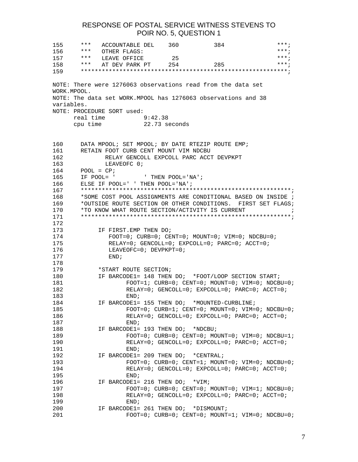| 155         | ***          | ACCOUNTABLE DEL                                                |         | 360           | 384                                            | $***;$                                                             |            |
|-------------|--------------|----------------------------------------------------------------|---------|---------------|------------------------------------------------|--------------------------------------------------------------------|------------|
| 156         | * * *        | OTHER FLAGS:                                                   |         |               |                                                | $***;$                                                             |            |
|             | $157$ ***    | LEAVE OFFICE                                                   |         | 25            |                                                | $***$ ;                                                            |            |
|             | $158$ ***    | AT DEV PARK PT 254                                             |         |               | 285                                            | $***$ ;                                                            |            |
| 159         |              |                                                                |         |               |                                                |                                                                    |            |
|             |              |                                                                |         |               |                                                |                                                                    |            |
|             |              | NOTE: There were 1276063 observations read from the data set   |         |               |                                                |                                                                    |            |
| WORK.MPOOL. |              |                                                                |         |               |                                                |                                                                    |            |
|             |              | NOTE: The data set WORK. MPOOL has 1276063 observations and 38 |         |               |                                                |                                                                    |            |
| variables.  |              |                                                                |         |               |                                                |                                                                    |            |
|             |              | NOTE: PROCEDURE SORT used:                                     |         |               |                                                |                                                                    |            |
|             | real time    |                                                                | 9:42.38 |               |                                                |                                                                    |            |
|             | cpu time     |                                                                |         | 22.73 seconds |                                                |                                                                    |            |
|             |              |                                                                |         |               |                                                |                                                                    |            |
|             |              |                                                                |         |               |                                                |                                                                    |            |
| 160         |              | DATA MPOOL; SET MPOOL; BY DATE RTEZIP ROUTE EMP;               |         |               |                                                |                                                                    |            |
| 161         |              | RETAIN FOOT CURB CENT MOUNT VIM NDCBU                          |         |               |                                                |                                                                    |            |
| 162         |              |                                                                |         |               | RELAY GENCOLL EXPCOLL PARC ACCT DEVPKPT        |                                                                    |            |
| 163         |              | LEAVEOFC 0;                                                    |         |               |                                                |                                                                    |            |
| 164         | $POOL = CP;$ |                                                                |         |               |                                                |                                                                    |            |
| 165         |              | IF POOL= $'$<br>THEN POOL='NA';                                |         |               |                                                |                                                                    |            |
| 166         |              | ELSE IF POOL=' ' THEN POOL='NA';                               |         |               |                                                |                                                                    |            |
| 167         |              |                                                                |         |               |                                                |                                                                    |            |
| 168         |              |                                                                |         |               |                                                | *SOME COST POOL ASSIGNMENTS ARE CONDITIONAL BASED ON INSIDE ;      |            |
| 169         |              |                                                                |         |               |                                                | *OUTSIDE ROUTE SECTION OR OTHER CONDITIONS. FIRST SET FLAGS;       |            |
| 170         |              | *TO KNOW WHAT ROUTE SECTION/ACTIVITY IS CURRENT                |         |               |                                                |                                                                    | $\ddot{i}$ |
| 171         |              |                                                                |         |               |                                                |                                                                    |            |
| 172         |              |                                                                |         |               |                                                |                                                                    |            |
| 173         |              | IF FIRST. EMP THEN DO;                                         |         |               |                                                |                                                                    |            |
| 174         |              |                                                                |         |               |                                                | $FOOT=0$ ; $CURB=0$ ; $CENT=0$ ; $MOUNT=0$ ; $VIM=0$ ; $NDCBU=0$ ; |            |
| 175         |              |                                                                |         |               | RELAY=0; GENCOLL=0; EXPCOLL=0; PARC=0; ACCT=0; |                                                                    |            |
| 176         |              | LEAVEOFC= $0;$ DEVPKPT= $0;$                                   |         |               |                                                |                                                                    |            |
| 177         |              | END;                                                           |         |               |                                                |                                                                    |            |
| 178         |              |                                                                |         |               |                                                |                                                                    |            |
| 179         |              | *START ROUTE SECTION;                                          |         |               |                                                |                                                                    |            |
| 180         |              |                                                                |         |               |                                                | IF BARCODE1= 148 THEN DO; *FOOT/LOOP SECTION START;                |            |
| 181         |              |                                                                |         |               |                                                | $FOOT=1$ ; $CURB=0$ ; $CENT=0$ ; $MOUNT=0$ ; $VIM=0$ ; $NDCBU=0$ ; |            |
| 182         |              |                                                                |         |               |                                                | RELAY=0; GENCOLL=0; EXPCOLL=0; PARC=0; ACCT=0;                     |            |
| 183         |              | END:                                                           |         |               |                                                |                                                                    |            |
| 184         |              | IF BARCODE1= 155 THEN DO; *MOUNTED-CURBLINE;                   |         |               |                                                |                                                                    |            |
| 185         |              |                                                                |         |               |                                                | $FOOT=0$ ; $CURB=1$ ; $CENT=0$ ; $MOUNT=0$ ; $VIM=0$ ; $NDCBU=0$ ; |            |
| 186         |              |                                                                |         |               |                                                | RELAY=0; GENCOLL=0; EXPCOLL=0; PARC=0; ACCT=0;                     |            |
| 187         |              | END <sub>i</sub>                                               |         |               |                                                |                                                                    |            |
| 188         |              | IF BARCODE1= 193 THEN DO; *NDCBU;                              |         |               |                                                |                                                                    |            |
| 189         |              |                                                                |         |               |                                                | $FOOT=0$ ; $CURB=0$ ; $CENT=0$ ; $MOUNT=0$ ; $VIM=0$ ; $NDCBU=1$ ; |            |
| 190         |              |                                                                |         |               |                                                | RELAY=0; GENCOLL=0; EXPCOLL=0; PARC=0; ACCT=0;                     |            |
| 191         |              | END:                                                           |         |               |                                                |                                                                    |            |
| 192         |              | IF BARCODE1= 209 THEN DO; *CENTRAL;                            |         |               |                                                |                                                                    |            |
| 193         |              |                                                                |         |               |                                                | $FOOT=0$ ; $CURB=0$ ; $CENT=1$ ; $MOUNT=0$ ; $VIM=0$ ; $NDCBU=0$ ; |            |
| 194         |              |                                                                |         |               |                                                | RELAY=0; GENCOLL=0; EXPCOLL=0; PARC=0; ACCT=0;                     |            |
| 195         |              | END;                                                           |         |               |                                                |                                                                    |            |
| 196         |              | IF BARCODE1= 216 THEN DO; *VIM;                                |         |               |                                                |                                                                    |            |
| 197         |              |                                                                |         |               |                                                | $FOOT=0$ ; $CURB=0$ ; $CENT=0$ ; $MOUT=0$ ; $VIM=1$ ; $NDCBU=0$ ;  |            |
| 198         |              |                                                                |         |               |                                                | RELAY=0; GENCOLL=0; EXPCOLL=0; PARC=0; ACCT=0;                     |            |
| 199         |              | END <sub>i</sub>                                               |         |               |                                                |                                                                    |            |
| 200         |              | IF BARCODE1= 261 THEN DO; *DISMOUNT;                           |         |               |                                                |                                                                    |            |
| 201         |              |                                                                |         |               |                                                | $FOOT=0$ ; $CURB=0$ ; $CENT=0$ ; $MOUT=1$ ; $VIM=0$ ; $NDCBU=0$ ;  |            |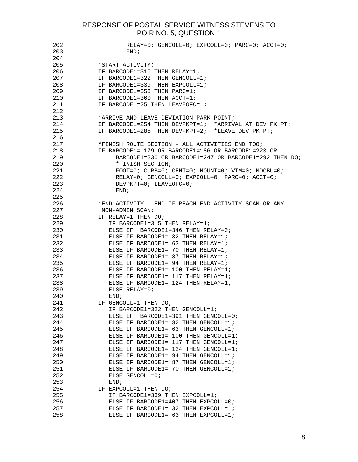| 202 | $RELAY=0$ ; $GENCOLL=0$ ; $EXPCOLL=0$ ; $PARC=0$ ; $ACCT=0$ ; |
|-----|---------------------------------------------------------------|
| 203 | END;                                                          |
| 204 |                                                               |
| 205 | *START ACTIVITY;                                              |
| 206 | IF BARCODE1=315 THEN RELAY=1;                                 |
| 207 | IF BARCODE1=322 THEN GENCOLL=1;                               |
| 208 | IF BARCODE1=339 THEN EXPCOLL=1;                               |
| 209 | IF BARCODE1=353 THEN PARC=1;                                  |
|     |                                                               |
| 210 | IF BARCODE1=360 THEN ACCT=1;                                  |
| 211 | IF BARCODE1=25 THEN LEAVEOFC=1;                               |
| 212 |                                                               |
| 213 | *ARRIVE AND LEAVE DEVIATION PARK POINT;                       |
| 214 | IF BARCODE1=254 THEN DEVPKPT=1; *ARRIVAL AT DEV PK PT;        |
| 215 | IF BARCODE1=285 THEN DEVPKPT=2; *LEAVE DEV PK PT;             |
| 216 |                                                               |
| 217 | *FINISH ROUTE SECTION - ALL ACTIVITIES END TOO;               |
| 218 | IF BARCODE1= 179 OR BARCODE1=186 OR BARCODE1=223 OR           |
| 219 | BARCODE1=230 OR BARCODE1=247 OR BARCODE1=292 THEN DO;         |
| 220 | *FINISH SECTION;                                              |
| 221 | $FOOT=0; CURB=0; CENT=0; MOUNT=0; VIM=0; NDCBU=0;$            |
| 222 | RELAY=0; GENCOLL=0; EXPCOLL=0; PARC=0; ACCT=0;                |
| 223 | DEVPKPT= $0;$ LEAVEOFC= $0;$                                  |
| 224 | END <sub>i</sub>                                              |
| 225 |                                                               |
|     |                                                               |
| 226 | *END ACTIVITY – END IF REACH END ACTIVITY SCAN OR ANY         |
| 227 | NON-ADMIN SCAN;                                               |
| 228 | IF RELAY=1 THEN DO;                                           |
| 229 | IF BARCODE1=315 THEN RELAY=1;                                 |
| 230 | ELSE IF BARCODE1=346 THEN RELAY=0;                            |
| 231 | ELSE IF BARCODE1= 32 THEN RELAY=1;                            |
| 232 | ELSE IF BARCODE1= 63 THEN RELAY=1;                            |
| 233 | ELSE IF BARCODE1= 70 THEN RELAY=1;                            |
| 234 | ELSE IF BARCODE1= 87 THEN RELAY=1;                            |
| 235 | ELSE IF BARCODE1= 94 THEN RELAY=1;                            |
| 236 | ELSE IF BARCODE1= 100 THEN RELAY=1;                           |
| 237 | ELSE IF BARCODE1= 117 THEN RELAY=1;                           |
| 238 | ELSE IF BARCODE1= 124 THEN RELAY=1;                           |
| 239 | ELSE RELAY= $0;$                                              |
| 240 | END;                                                          |
| 241 | IF GENCOLL=1 THEN DO;                                         |
| 242 | IF BARCODE1=322 THEN GENCOLL=1;                               |
| 243 | ELSE IF BARCODE1=391 THEN GENCOLL=0;                          |
| 244 | ELSE IF BARCODE1= 32 THEN GENCOLL=1;                          |
| 245 | ELSE IF BARCODE1= 63 THEN GENCOLL=1;                          |
| 246 | ELSE IF BARCODE1= 100 THEN GENCOLL=1;                         |
| 247 | ELSE IF BARCODE1= 117 THEN GENCOLL=1;                         |
| 248 | ELSE IF BARCODE1= 124 THEN GENCOLL=1;                         |
| 249 | ELSE IF BARCODE1= 94 THEN GENCOLL=1;                          |
| 250 |                                                               |
|     | ELSE IF BARCODE1= 87 THEN GENCOLL=1;                          |
| 251 | ELSE IF BARCODE1= 70 THEN GENCOLL=1;                          |
| 252 | ELSE GENCOLL=0;                                               |
| 253 | END;                                                          |
| 254 | IF EXPCOLL=1 THEN DO;                                         |
| 255 | IF BARCODE1=339 THEN EXPCOLL=1;                               |
| 256 | ELSE IF BARCODE1=407 THEN EXPCOLL=0;                          |
| 257 | ELSE IF BARCODE1= 32 THEN EXPCOLL=1;                          |
| 258 | ELSE IF BARCODE1= 63 THEN EXPCOLL=1;                          |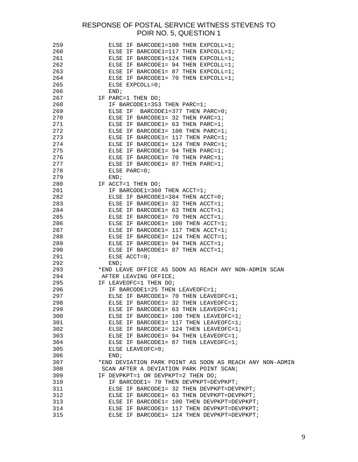| 259 | ELSE IF BARCODE1=100 THEN EXPCOLL=1;                     |
|-----|----------------------------------------------------------|
| 260 | ELSE IF BARCODE1=117 THEN EXPCOLL=1;                     |
| 261 | ELSE IF BARCODE1=124 THEN EXPCOLL=1;                     |
| 262 | ELSE IF BARCODE1= 94 THEN EXPCOLL=1;                     |
| 263 | ELSE IF BARCODE1= 87 THEN EXPCOLL=1;                     |
| 264 | ELSE IF BARCODE1= 70 THEN EXPCOLL=1;                     |
| 265 | ELSE EXPCOLL=0;                                          |
| 266 | END;                                                     |
| 267 | IF PARC=1 THEN DO;                                       |
| 268 | IF BARCODE1=353 THEN PARC=1;                             |
| 269 | ELSE IF BARCODE1=377 THEN PARC=0;                        |
| 270 | ELSE IF BARCODE1= 32 THEN PARC=1;                        |
| 271 | ELSE IF BARCODE1= 63 THEN PARC=1;                        |
| 272 | ELSE IF BARCODE1= 100 THEN PARC=1;                       |
| 273 | ELSE IF BARCODE1= 117 THEN PARC=1;                       |
| 274 | ELSE IF BARCODE1= 124 THEN PARC=1;                       |
| 275 | ELSE IF BARCODE1= 94 THEN PARC=1;                        |
| 276 | ELSE IF BARCODE1= 70 THEN PARC=1;                        |
| 277 | ELSE IF BARCODE1= 87 THEN PARC=1;                        |
| 278 | ELSE PARC= $0;$                                          |
| 279 | END;                                                     |
| 280 | IF ACCT=1 THEN DO;                                       |
| 281 | IF BARCODE1=360 THEN ACCT=1;                             |
| 282 | ELSE IF BARCODE1=384 THEN ACCT=0;                        |
| 283 | ELSE IF BARCODE1= 32 THEN ACCT=1;                        |
| 284 | ELSE IF BARCODE1= $63$ THEN ACCT=1;                      |
| 285 | ELSE IF BARCODE1= 70 THEN ACCT=1;                        |
| 286 | ELSE IF BARCODE1= 100 THEN ACCT=1;                       |
| 287 | ELSE IF BARCODE1= $117$ THEN ACCT=1;                     |
| 288 | ELSE IF BARCODE1= $124$ THEN ACCT=1;                     |
| 289 | ELSE IF BARCODE1= 94 THEN ACCT=1;                        |
| 290 | ELSE IF BARCODE1= 87 THEN ACCT=1;                        |
| 291 | ELSE ACCT=0;                                             |
| 292 | END:                                                     |
| 293 | *END LEAVE OFFICE AS SOON AS REACH ANY NON-ADMIN SCAN    |
| 294 | AFTER LEAVING OFFICE;                                    |
| 295 | IF LEAVEOFC=1 THEN DO;                                   |
| 296 | IF BARCODE1=25 THEN LEAVEOFC=1;                          |
| 297 | ELSE IF BARCODE1= 70 THEN LEAVEOFC=1;                    |
| 298 | ELSE IF BARCODE1= 32 THEN LEAVEOFC=1;                    |
| 299 | ELSE IF BARCODE1= 63 THEN LEAVEOFC=1;                    |
| 300 | ELSE IF BARCODE1= 100 THEN LEAVEOFC=1;                   |
| 301 | ELSE IF BARCODE1= 117 THEN LEAVEOFC=1;                   |
| 302 | ELSE IF BARCODE1= 124 THEN LEAVEOFC=1;                   |
| 303 | ELSE IF BARCODE1= 94 THEN LEAVEOFC=1;                    |
| 304 | ELSE IF BARCODE1= 87 THEN LEAVEOFC=1;                    |
| 305 | ELSE LEAVEOFC=0;                                         |
| 306 | END;                                                     |
| 307 | *END DEVIATION PARK POINT AS SOON AS REACH ANY NON-ADMIN |
| 308 | SCAN AFTER A DEVIATION PARK POINT SCAN;                  |
| 309 | IF DEVPKPT=1 OR DEVPKPT=2 THEN DO;                       |
| 310 | IF BARCODE1= 70 THEN DEVPKPT=DEVPKPT;                    |
| 311 | ELSE IF BARCODE1= 32 THEN DEVPKPT=DEVPKPT;               |
| 312 | ELSE IF BARCODE1= 63 THEN DEVPKPT=DEVPKPT;               |
| 313 | ELSE IF BARCODE1= 100 THEN DEVPKPT=DEVPKPT;              |
| 314 | ELSE IF BARCODE1= 117 THEN DEVPKPT=DEVPKPT;              |
| 315 | ELSE IF BARCODE1= 124 THEN DEVPKPT=DEVPKPT;              |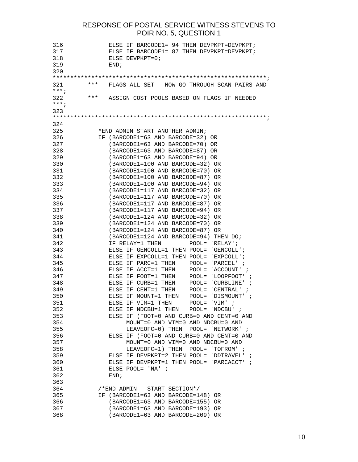316 ELSE IF BARCODE1= 94 THEN DEVPKPT=DEVPKPT; 317 ELSE IF BARCODE1= 87 THEN DEVPKPT=DEVPKPT; 318 ELSE DEVPKPT=0; 319 END; 320 \*\*\*\*\*\*\*\*\*\*\*\*\*\*\*\*\*\*\*\*\*\*\*\*\*\*\*\*\*\*\*\*\*\*\*\*\*\*\*\*\*\*\*\*\*\*\*\*\*\*\*\*\*\*\*\*\*\*\*\*\*; 321 \*\*\* FLAGS ALL SET NOW GO THROUGH SCAN PAIRS AND \*\*\*; 322 \*\*\* ASSIGN COST POOLS BASED ON FLAGS IF NEEDED \*\*\*; 323 \*\*\*\*\*\*\*\*\*\*\*\*\*\*\*\*\*\*\*\*\*\*\*\*\*\*\*\*\*\*\*\*\*\*\*\*\*\*\*\*\*\*\*\*\*\*\*\*\*\*\*\*\*\*\*\*\*\*\*\*\*; 324 325 \*END ADMIN START ANOTHER ADMIN; 326 IF (BARCODE1=63 AND BARCODE=32) OR 327 (BARCODE1=63 AND BARCODE=70) OR 328 (BARCODE1=63 AND BARCODE=87) OR 329 (BARCODE1=63 AND BARCODE=94) OR 330 (BARCODE1=100 AND BARCODE=32) OR 331 (BARCODE1=100 AND BARCODE=70) OR 332 (BARCODE1=100 AND BARCODE=87) OR 333 (BARCODE1=100 AND BARCODE=94) OR 334 (BARCODE1=117 AND BARCODE=32) OR 335 (BARCODE1=117 AND BARCODE=70) OR 336 (BARCODE1=117 AND BARCODE=87) OR 337 (BARCODE1=117 AND BARCODE=94) OR 338 (BARCODE1=124 AND BARCODE=32) OR 339 (BARCODE1=124 AND BARCODE=70) OR 340 (BARCODE1=124 AND BARCODE=87) OR 341 (BARCODE1=124 AND BARCODE=94) THEN DO; 342 IF RELAY=1 THEN POOL= 'RELAY'; 343 ELSE IF GENCOLL=1 THEN POOL= 'GENCOLL'; 344 ELSE IF EXPCOLL=1 THEN POOL= 'EXPCOLL'; 345 ELSE IF PARC=1 THEN POOL= 'PARCEL' ; 346 ELSE IF ACCT=1 THEN POOL= 'ACCOUNT' ; 347 ELSE IF FOOT=1 THEN POOL= 'LOOPFOOT' ; 348 ELSE IF CURB=1 THEN POOL= 'CURBLINE' ; 349 ELSE IF CENT=1 THEN POOL= 'CENTRAL' ; 350 ELSE IF MOUNT=1 THEN POOL= 'DISMOUNT' ; 351 ELSE IF VIM=1 THEN POOL= 'VIM' ; 352 ELSE IF NDCBU=1 THEN POOL= 'NDCBU' ; 353 ELSE IF (FOOT=0 AND CURB=0 AND CENT=0 AND 354 MOUNT=0 AND VIM=0 AND NDCBU=0 AND 355 LEAVEOFC=0) THEN POOL= 'NETWORK' ; 356 ELSE IF (FOOT=0 AND CURB=0 AND CENT=0 AND 357 MOUNT=0 AND VIM=0 AND NDCBU=0 AND 358 LEAVEOFC=1) THEN POOL= 'TOFROM' ; 359 ELSE IF DEVPKPT=2 THEN POOL= 'DDTRAVEL' ; 360 ELSE IF DEVPKPT=1 THEN POOL= 'PARCACCT' ; 361 ELSE POOL= 'NA' ; 362 END; 363 364 /\*END ADMIN - START SECTION\*/ 365 IF (BARCODE1=63 AND BARCODE=148) OR 366 (BARCODE1=63 AND BARCODE=155) OR 367 (BARCODE1=63 AND BARCODE=193) OR 368 (BARCODE1=63 AND BARCODE=209) OR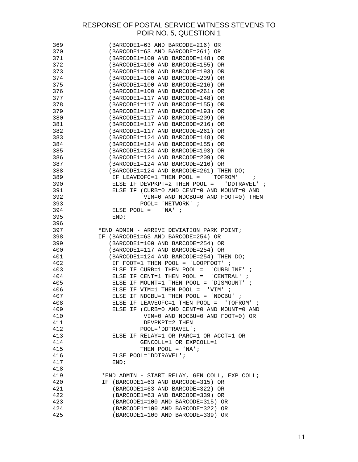| 369 | (BARCODE1=63 AND BARCODE=216) OR                                                          |
|-----|-------------------------------------------------------------------------------------------|
| 370 | (BARCODE1=63 AND BARCODE=261) OR                                                          |
| 371 | (BARCODE1=100 AND BARCODE=148) OR                                                         |
| 372 | (BARCODE1=100 AND BARCODE=155)<br>0R                                                      |
| 373 | (BARCODE1=100 AND BARCODE=193)<br>0R                                                      |
| 374 | (BARCODE1=100 AND BARCODE=209)<br>0R                                                      |
| 375 | (BARCODE1=100 AND BARCODE=216)<br>0R                                                      |
| 376 | (BARCODE1=100 AND BARCODE=261)<br>OR.                                                     |
|     |                                                                                           |
| 377 | (BARCODE1=117 AND BARCODE=148)<br>0R                                                      |
| 378 | (BARCODE1=117 AND BARCODE=155)<br>OR.                                                     |
| 379 | (BARCODE1=117 AND BARCODE=193)<br>0R                                                      |
| 380 | (BARCODE1=117 AND BARCODE=209)<br>OR.                                                     |
| 381 | (BARCODE1=117 AND BARCODE=216)<br>0R                                                      |
| 382 | (BARCODE1=117 AND BARCODE=261)<br>0R                                                      |
| 383 | (BARCODE1=124 AND BARCODE=148)<br>0R                                                      |
| 384 | (BARCODE1=124 AND BARCODE=155)<br>0R                                                      |
| 385 | (BARCODE1=124 AND BARCODE=193) OR                                                         |
| 386 | (BARCODE1=124 AND BARCODE=209) OR                                                         |
| 387 | (BARCODE1=124 AND BARCODE=216) OR                                                         |
| 388 | (BARCODE1=124 AND BARCODE=261) THEN DO;                                                   |
| 389 | IF LEAVEOFC=1 THEN POOL = 'TOFROM'<br>$\cdot$ ;                                           |
| 390 | ELSE IF DEVPKPT=2 THEN POOL = $"$ DDTRAVEL' ;                                             |
| 391 | ELSE IF (CURB=0 AND CENT=0 AND MOUNT=0 AND                                                |
| 392 | VIM=0 AND NDCBU=0 AND FOOT=0) THEN                                                        |
| 393 | POOL= $'$ NETWORK' ;                                                                      |
| 394 | ELSE POOL = $'NA'$ ;                                                                      |
| 395 | END:                                                                                      |
| 396 |                                                                                           |
| 397 | *END ADMIN - ARRIVE DEVIATION PARK POINT;                                                 |
| 398 | IF (BARCODE1=63 AND BARCODE=254) OR                                                       |
| 399 | (BARCODE1=100 AND BARCODE=254) OR                                                         |
| 400 | (BARCODE1=117 AND BARCODE=254) OR                                                         |
| 401 |                                                                                           |
| 402 | (BARCODE1=124 AND BARCODE=254) THEN DO;<br>IF FOOT=1 THEN POOL = 'LOOPFOOT' $\mathcal{V}$ |
|     |                                                                                           |
| 403 | ELSE IF CURB=1 THEN POOL = $'$ CURBLINE' ;                                                |
| 404 | ELSE IF CENT=1 THEN POOL = $'$ CENTRAL' ;                                                 |
| 405 | ELSE IF MOUNT=1 THEN POOL = 'DISMOUNT' $\dot{i}$                                          |
| 406 | ELSE IF VIM=1 THEN POOL = $'$ VIM' ;                                                      |
| 407 | ELSE IF NDCBU=1 THEN POOL = 'NDCBU' ;                                                     |
| 408 | ELSE IF LEAVEOFC=1 THEN POOL = $'$ TOFROM' ;                                              |
| 409 | ELSE IF (CURB=0 AND CENT=0 AND MOUNT=0 AND                                                |
| 410 | VIM=0 AND NDCBU=0 AND FOOT=0) OR                                                          |
| 411 | DEVPKPT=2 THEN                                                                            |
| 412 | $POOL = 'DDTRAVEL'$ ;                                                                     |
| 413 | ELSE IF RELAY=1 OR PARC=1 OR ACCT=1 OR                                                    |
| 414 | GENCOLL=1 OR EXPCOLL=1                                                                    |
| 415 | THEN POOL = $'NA'$ ;                                                                      |
| 416 | ELSE POOL='DDTRAVEL';                                                                     |
| 417 | END;                                                                                      |
| 418 |                                                                                           |
| 419 | *END ADMIN - START RELAY, GEN COLL, EXP COLL;                                             |
| 420 | IF (BARCODE1=63 AND BARCODE=315) OR                                                       |
| 421 | (BARCODE1=63 AND BARCODE=322) OR                                                          |
| 422 | (BARCODE1=63 AND BARCODE=339) OR                                                          |
| 423 | (BARCODE1=100 AND BARCODE=315) OR                                                         |
| 424 | (BARCODE1=100 AND BARCODE=322) OR                                                         |
| 425 | (BARCODE1=100 AND BARCODE=339) OR                                                         |
|     |                                                                                           |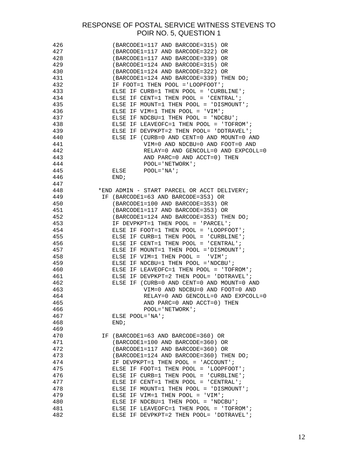| 426 | (BARCODE1=117 AND BARCODE=315) OR           |
|-----|---------------------------------------------|
| 427 | (BARCODE1=117 AND BARCODE=322) OR           |
| 428 | (BARCODE1=117 AND BARCODE=339) OR           |
| 429 | (BARCODE1=124 AND BARCODE=315) OR           |
| 430 | (BARCODE1=124 AND BARCODE=322) OR           |
| 431 | (BARCODE1=124 AND BARCODE=339) THEN DO;     |
| 432 | IF FOOT=1 THEN POOL = 'LOOPFOOT';           |
| 433 | ELSE IF CURB=1 THEN POOL = $'$ CURBLINE';   |
| 434 | ELSE IF CENT=1 THEN POOL = $'CFNTRAL'$ ;    |
| 435 | ELSE IF MOUNT=1 THEN POOL = 'DISMOUNT';     |
| 436 | ELSE IF VIM=1 THEN POOL = 'VIM';            |
| 437 | ELSE IF NDCBU=1 THEN POOL = 'NDCBU';        |
| 438 | ELSE IF LEAVEOFC=1 THEN POOL = $'T$ OFROM'; |
| 439 | ELSE IF DEVPKPT=2 THEN POOL= 'DDTRAVEL';    |
|     |                                             |
| 440 | ELSE IF (CURB=0 AND CENT=0 AND MOUNT=0 AND  |
| 441 | VIM=0 AND NDCBU=0 AND FOOT=0 AND            |
| 442 | RELAY=0 AND GENCOLL=0 AND EXPCOLL=0         |
| 443 | AND PARC=0 AND ACCT=0) THEN                 |
| 444 | $POOL = 'NETWORK'$                          |
| 445 | $POOL='NA'$<br>ELSE                         |
| 446 | END;                                        |
| 447 |                                             |
| 448 | *END ADMIN - START PARCEL OR ACCT DELIVERY; |
| 449 | IF (BARCODE1=63 AND BARCODE=353) OR         |
| 450 | (BARCODE1=100 AND BARCODE=353) OR           |
| 451 | (BARCODE1=117 AND BARCODE=353) OR           |
| 452 | (BARCODE1=124 AND BARCODE=353) THEN DO;     |
| 453 | IF DEVPKPT=1 THEN POOL = $'PARCEL'$ ;       |
| 454 | ELSE IF FOOT=1 THEN POOL = $'LOOPFOOT'$ ;   |
| 455 | ELSE IF CURB=1 THEN POOL = $'$ CURBLINE';   |
| 456 | ELSE IF CENT=1 THEN POOL = $'CFNTRAL'$ ;    |
| 457 | ELSE IF MOUNT=1 THEN POOL = 'DISMOUNT';     |
| 458 | ELSE IF VIM=1 THEN POOL = 'VIM';            |
| 459 |                                             |
|     | ELSE IF NDCBU=1 THEN POOL = 'NDCBU';        |
| 460 | ELSE IF LEAVEOFC=1 THEN POOL = $'TOFROM'$ ; |
| 461 | ELSE IF DEVPKPT=2 THEN POOL= 'DDTRAVEL';    |
| 462 | ELSE IF (CURB=0 AND CENT=0 AND MOUNT=0 AND  |
| 463 | VIM=0 AND NDCBU=0 AND FOOT=0 AND            |
| 464 | RELAY=0 AND GENCOLL=0 AND EXPCOLL=0         |
| 465 | AND PARC=0 AND ACCT=0) THEN                 |
| 466 | $POOL = 'NETWORK'$                          |
| 467 | ELSE $POOL='NA'$                            |
| 468 | END;                                        |
| 469 |                                             |
| 470 | IF (BARCODE1=63 AND BARCODE=360) OR         |
| 471 | (BARCODE1=100 AND BARCODE=360) OR           |
| 472 | (BARCODE1=117 AND BARCODE=360) OR           |
| 473 | (BARCODE1=124 AND BARCODE=360) THEN DO;     |
| 474 | IF DEVPKPT=1 THEN POOL = $'ACCOUNT'$ ;      |
| 475 | ELSE IF FOOT=1 THEN POOL = $'LOOPFOOT'$ ;   |
| 476 | ELSE IF CURB=1 THEN POOL = $'$ CURBLINE';   |
| 477 | ELSE IF CENT=1 THEN POOL = $'CFNTRAL'$ ;    |
| 478 | ELSE IF MOUNT=1 THEN POOL = 'DISMOUNT';     |
|     |                                             |
| 479 | ELSE IF VIM=1 THEN POOL = $'VIM'$ ;         |
| 480 | ELSE IF NDCBU=1 THEN POOL = 'NDCBU';        |
| 481 | ELSE IF LEAVEOFC=1 THEN POOL = $'TOFROM'$ ; |
| 482 | ELSE IF DEVPKPT=2 THEN POOL= 'DDTRAVEL';    |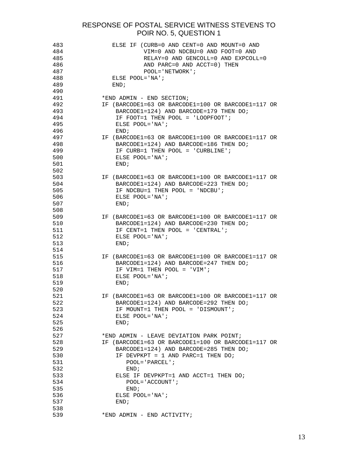| 483 | ELSE IF (CURB=0 AND CENT=0 AND MOUNT=0 AND         |
|-----|----------------------------------------------------|
| 484 | VIM=0 AND NDCBU=0 AND FOOT=0 AND                   |
| 485 | RELAY=0 AND GENCOLL=0 AND EXPCOLL=0                |
| 486 | AND PARC=0 AND ACCT=0) THEN                        |
| 487 | $POOL='NETWORK'$                                   |
| 488 | ELSE $POOL='NA$                                    |
| 489 | END;                                               |
| 490 |                                                    |
| 491 | *END ADMIN - END SECTION;                          |
| 492 | IF (BARCODE1=63 OR BARCODE1=100 OR BARCODE1=117 OR |
| 493 | BARCODE1=124) AND BARCODE=179 THEN DO;             |
| 494 | IF FOOT=1 THEN POOL = $'LOOPFOOT'$ ;               |
| 495 | ELSE $POOL='NA$                                    |
| 496 | END;                                               |
| 497 | IF (BARCODE1=63 OR BARCODE1=100 OR BARCODE1=117 OR |
| 498 | BARCODE1=124) AND BARCODE=186 THEN DO;             |
| 499 | IF CURB=1 THEN POOL = $'$ CURBLINE';               |
| 500 | ELSE POOL='NA';                                    |
| 501 |                                                    |
| 502 | END;                                               |
|     |                                                    |
| 503 | IF (BARCODE1=63 OR BARCODE1=100 OR BARCODE1=117 OR |
| 504 | BARCODE1=124) AND BARCODE=223 THEN $DO$ ;          |
| 505 | IF NDCBU=1 THEN POOL = $'NDCBU'$ ;                 |
| 506 | ELSE POOL='NA';                                    |
| 507 | END;                                               |
| 508 |                                                    |
| 509 | IF (BARCODE1=63 OR BARCODE1=100 OR BARCODE1=117 OR |
| 510 | BARCODE1=124) AND BARCODE=230 THEN DO;             |
| 511 | IF CENT=1 THEN POOL = $'CFNTRAL'$ ;                |
| 512 | ELSE $POOL='NA$                                    |
| 513 | END;                                               |
| 514 |                                                    |
| 515 | IF (BARCODE1=63 OR BARCODE1=100 OR BARCODE1=117 OR |
| 516 | BARCODE1=124) AND BARCODE=247 THEN DO;             |
| 517 | IF VIM=1 THEN POOL = 'VIM';                        |
| 518 | ELSE $POOL='NA'$ ;                                 |
| 519 | END:                                               |
| 520 |                                                    |
| 521 | IF (BARCODE1=63 OR BARCODE1=100 OR BARCODE1=117 OR |
| 522 | $BARCODE1=124$ ) AND BARCODE=292 THEN DO;          |
| 523 | IF MOUNT=1 THEN POOL = 'DISMOUNT';                 |
| 524 | ELSE $POOL='NA$                                    |
| 525 | END:                                               |
| 526 |                                                    |
| 527 | *END ADMIN - LEAVE DEVIATION PARK POINT;           |
| 528 | IF (BARCODE1=63 OR BARCODE1=100 OR BARCODE1=117 OR |
| 529 | BARCODE1=124) AND BARCODE=285 THEN DO;             |
| 530 | IF DEVPKPT = 1 AND PARC=1 THEN $DO$ ;              |
| 531 | $POOL='PARCEL':$                                   |
| 532 | END;                                               |
| 533 | ELSE IF DEVPKPT=1 AND ACCT=1 THEN DO;              |
| 534 | $POOL='ACCOUNT':$                                  |
| 535 | END:                                               |
| 536 |                                                    |
|     | ELSE POOL='NA';                                    |
| 537 | END;                                               |
| 538 |                                                    |
| 539 | *END ADMIN - END ACTIVITY;                         |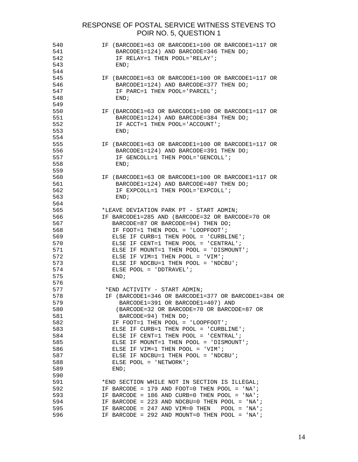| 540<br>541<br>542<br>543<br>544 | IF (BARCODE1=63 OR BARCODE1=100 OR BARCODE1=117 OR<br>BARCODE1=124) AND BARCODE=346 THEN DO;<br>IF RELAY=1 THEN POOL='RELAY';<br>END:     |
|---------------------------------|-------------------------------------------------------------------------------------------------------------------------------------------|
| 545<br>546<br>547<br>548<br>549 | IF (BARCODE1=63 OR BARCODE1=100 OR BARCODE1=117 OR<br>$BARCODE1=124$ ) AND BARCODE=377 THEN DO;<br>IF PARC=1 THEN POOL='PARCEL';<br>END:  |
| 550<br>551<br>552<br>553<br>554 | IF (BARCODE1=63 OR BARCODE1=100 OR BARCODE1=117 OR<br>BARCODE1=124) AND BARCODE=384 THEN DO;<br>IF ACCT=1 THEN POOL='ACCOUNT';<br>END;    |
| 555<br>556<br>557<br>558<br>559 | IF (BARCODE1=63 OR BARCODE1=100 OR BARCODE1=117 OR<br>BARCODE1=124) AND BARCODE=391 THEN DO;<br>IF GENCOLL=1 THEN POOL='GENCOLL';<br>END; |
| 560<br>561<br>562<br>563<br>564 | IF (BARCODE1=63 OR BARCODE1=100 OR BARCODE1=117 OR<br>BARCODE1=124) AND BARCODE=407 THEN DO;<br>IF EXPCOLL=1 THEN POOL='EXPCOLL';<br>END; |
| 565                             | *LEAVE DEVIATION PARK PT - START ADMIN;                                                                                                   |
|                                 |                                                                                                                                           |
| 566                             | IF BARCODE1=285 AND (BARCODE=32 OR BARCODE=70 OR                                                                                          |
| 567                             | BARCODE=87 OR BARCODE=94) THEN DO;                                                                                                        |
| 568                             | IF FOOT=1 THEN POOL = 'LOOPFOOT';                                                                                                         |
| 569                             | ELSE IF CURB=1 THEN POOL = $'$ CURBLINE';                                                                                                 |
| 570                             | ELSE IF CENT=1 THEN POOL = $'CFNTRAL'$ ;                                                                                                  |
| 571                             | ELSE IF MOUNT=1 THEN POOL = 'DISMOUNT';                                                                                                   |
| 572                             | ELSE IF VIM=1 THEN POOL = $'VIM'$ ;                                                                                                       |
| 573                             | ELSE IF NDCBU=1 THEN POOL = $'NDCBU'$ ;                                                                                                   |
| 574                             | ELSE POOL = 'DDTRAVEL';                                                                                                                   |
| 575                             | END;                                                                                                                                      |
| 576                             |                                                                                                                                           |
| 577                             | *END ACTIVITY - START ADMIN;                                                                                                              |
| 578                             | IF (BARCODE1=346 OR BARCODE1=377 OR BARCODE1=384 OR                                                                                       |
| 579                             | BARCODE1=391 OR BARCODE1=407) AND                                                                                                         |
| 580                             | (BARCODE=32 OR BARCODE=70 OR BARCODE=87 OR                                                                                                |
| 581                             | BARCODE=94) THEN DO;                                                                                                                      |
| 582                             | IF FOOT=1 THEN POOL = $'LOOPFOOT'$ ;                                                                                                      |
| 583                             | ELSE IF CURB=1 THEN POOL = $'$ CURBLINE';                                                                                                 |
| 584                             | ELSE IF CENT=1 THEN POOL = $'CFNTRAL'$ ;                                                                                                  |
| 585                             | ELSE IF MOUNT=1 THEN POOL = 'DISMOUNT';                                                                                                   |
| 586                             | ELSE IF VIM=1 THEN POOL = 'VIM';                                                                                                          |
| 587                             | ELSE IF NDCBU=1 THEN POOL = 'NDCBU';                                                                                                      |
| 588                             | ELSE POOL = $'NETWORK'$ ;                                                                                                                 |
| 589                             | END;                                                                                                                                      |
| 590                             |                                                                                                                                           |
| 591                             | *END SECTION WHILE NOT IN SECTION IS ILLEGAL;                                                                                             |
| 592                             | IF BARCODE = 179 AND FOOT=0 THEN POOL = $'NA'$ ;                                                                                          |
| 593                             | IF BARCODE = 186 AND CURB=0 THEN POOL = $NA'$ ;                                                                                           |
| 594                             | IF BARCODE = 223 AND NDCBU=0 THEN POOL = 'NA';                                                                                            |
| 595                             | IF BARCODE = $247$ AND VIM=0 THEN<br>$POOL = 'NA';$                                                                                       |
| 596                             | IF BARCODE = 292 AND MOUNT=0 THEN POOL = $'NA'$ ;                                                                                         |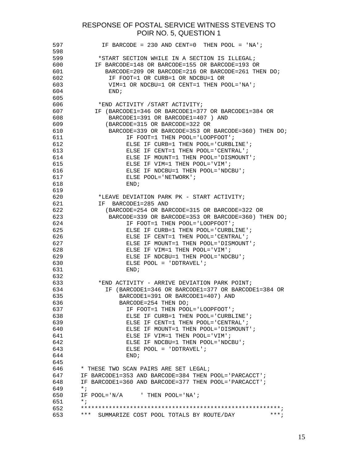| 597 | IF BARCODE = 230 AND CENT=0 THEN POOL = $'NA'$ ;                        |
|-----|-------------------------------------------------------------------------|
| 598 |                                                                         |
| 599 | *START SECTION WHILE IN A SECTION IS ILLEGAL;                           |
| 600 | IF BARCODE=148 OR BARCODE=155 OR BARCODE=193 OR                         |
| 601 | BARCODE=209 OR BARCODE=216 OR BARCODE=261 THEN DO;                      |
| 602 | IF FOOT=1 OR CURB=1 OR NDCBU=1 OR                                       |
| 603 | VIM=1 OR NDCBU=1 OR CENT=1 THEN POOL='NA';                              |
| 604 | END;                                                                    |
| 605 |                                                                         |
| 606 | *END ACTIVITY / START ACTIVITY;                                         |
| 607 | IF (BARCODE1=346 OR BARCODE1=377 OR BARCODE1=384 OR                     |
| 608 | BARCODE1=391 OR BARCODE1=407 ) AND                                      |
| 609 | (BARCODE=315 OR BARCODE=322 OR                                          |
| 610 | BARCODE=339 OR BARCODE=353 OR BARCODE=360) THEN DO;                     |
| 611 | IF FOOT=1 THEN POOL='LOOPFOOT';                                         |
| 612 | ELSE IF CURB=1 THEN POOL='CURBLINE';                                    |
| 613 | ELSE IF CENT=1 THEN POOL='CENTRAL';                                     |
| 614 |                                                                         |
| 615 | ELSE IF MOUNT=1 THEN POOL='DISMOUNT';<br>ELSE IF VIM=1 THEN POOL='VIM'; |
|     |                                                                         |
| 616 | ELSE IF NDCBU=1 THEN POOL='NDCBU';                                      |
| 617 | ELSE POOL='NETWORK';                                                    |
| 618 | END;                                                                    |
| 619 |                                                                         |
| 620 | *LEAVE DEVIATION PARK PK - START ACTIVITY;                              |
| 621 | BARCODE1=285 AND<br>IF                                                  |
| 622 | (BARCODE=254 OR BARCODE=315 OR BARCODE=322 OR                           |
| 623 | $BARCODE = 339$ OR BARCODE=353 OR BARCODE=360) THEN DO;                 |
| 624 | IF FOOT=1 THEN POOL='LOOPFOOT';                                         |
| 625 | ELSE IF CURB=1 THEN POOL='CURBLINE';                                    |
| 626 | ELSE IF CENT=1 THEN POOL='CENTRAL';                                     |
| 627 | ELSE IF MOUNT=1 THEN POOL='DISMOUNT';                                   |
| 628 | ELSE IF VIM=1 THEN POOL='VIM';                                          |
| 629 | ELSE IF NDCBU=1 THEN POOL='NDCBU';                                      |
| 630 | ELSE POOL = $'$ DDTRAVEL';                                              |
| 631 | END;                                                                    |
| 632 |                                                                         |
| 633 | *END ACTIVITY - ARRIVE DEVIATION PARK POINT;                            |
| 634 | IF (BARCODE1=346 OR BARCODE1=377 OR BARCODE1=384 OR                     |
| 635 | BARCODE1=391 OR BARCODE1=407) AND                                       |
| 636 | BARCODE=254 THEN DO;                                                    |
| 637 | IF FOOT=1 THEN POOL='LOOPFOOT';                                         |
| 638 | ELSE IF CURB=1 THEN POOL='CURBLINE';                                    |
| 639 | ELSE IF CENT=1 THEN POOL='CENTRAL';                                     |
| 640 | ELSE IF MOUNT=1 THEN POOL='DISMOUNT';                                   |
| 641 | ELSE IF VIM=1 THEN POOL='VIM';                                          |
| 642 | ELSE IF NDCBU=1 THEN POOL='NDCBU';                                      |
| 643 | ELSE POOL = $'$ DDTRAVEL';                                              |
| 644 | END:                                                                    |
| 645 |                                                                         |
| 646 | * THESE TWO SCAN PAIRS ARE SET LEGAL;                                   |
| 647 | IF BARCODE1=353 AND BARCODE=384 THEN POOL='PARCACCT';                   |
| 648 | IF BARCODE1=360 AND BARCODE=377 THEN POOL='PARCACCT';                   |
| 649 | $*$ ;                                                                   |
| 650 | IF $POOL = 'N/A$ $'$ THEN $POOL = 'NA'$ ;                               |
| 651 | $*$ ;                                                                   |
| 652 |                                                                         |
| 653 | *** SUMMARIZE COST POOL TOTALS BY ROUTE/DAY<br>$***$ ;                  |
|     |                                                                         |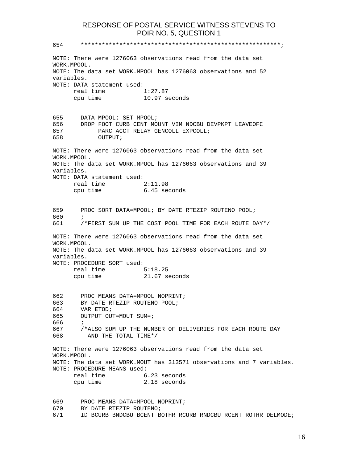654 \*\*\*\*\*\*\*\*\*\*\*\*\*\*\*\*\*\*\*\*\*\*\*\*\*\*\*\*\*\*\*\*\*\*\*\*\*\*\*\*\*\*\*\*\*\*\*\*\*\*\*\*\*\*\*\*\*;

NOTE: There were 1276063 observations read from the data set WORK.MPOOL. NOTE: The data set WORK.MPOOL has 1276063 observations and 52 variables. NOTE: DATA statement used: real time 1:27.87 cpu time 10.97 seconds 655 DATA MPOOL; SET MPOOL; 656 DROP FOOT CURB CENT MOUNT VIM NDCBU DEVPKPT LEAVEOFC 657 PARC ACCT RELAY GENCOLL EXPCOLL; 658 OUTPUT; NOTE: There were 1276063 observations read from the data set WORK.MPOOL. NOTE: The data set WORK.MPOOL has 1276063 observations and 39 variables. NOTE: DATA statement used: real time 2:11.98 cpu time 6.45 seconds 659 PROC SORT DATA=MPOOL; BY DATE RTEZIP ROUTENO POOL; 660 ; 661 /\*FIRST SUM UP THE COST POOL TIME FOR EACH ROUTE DAY\*/ NOTE: There were 1276063 observations read from the data set WORK.MPOOL. NOTE: The data set WORK.MPOOL has 1276063 observations and 39 variables. NOTE: PROCEDURE SORT used: real time 5:18.25 cpu time 21.67 seconds 662 PROC MEANS DATA=MPOOL NOPRINT; 663 BY DATE RTEZIP ROUTENO POOL; 664 VAR ETOD; 665 OUTPUT OUT=MOUT SUM=; 666 ; 667 /\*ALSO SUM UP THE NUMBER OF DELIVERIES FOR EACH ROUTE DAY 668 AND THE TOTAL TIME\*/ NOTE: There were 1276063 observations read from the data set WORK.MPOOL. NOTE: The data set WORK.MOUT has 313571 observations and 7 variables. NOTE: PROCEDURE MEANS used: real time 6.23 seconds cpu time 2.18 seconds 669 PROC MEANS DATA=MPOOL NOPRINT; 670 BY DATE RTEZIP ROUTENO;

16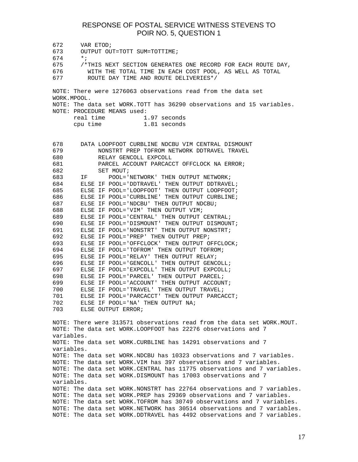672 VAR ETOD; 673 OUTPUT OUT=TOTT SUM=TOTTIME; 674 \*; 675 /\*THIS NEXT SECTION GENERATES ONE RECORD FOR EACH ROUTE DAY, 676 WITH THE TOTAL TIME IN EACH COST POOL, AS WELL AS TOTAL 677 ROUTE DAY TIME AND ROUTE DELIVERIES\*/ NOTE: There were 1276063 observations read from the data set WORK.MPOOL. NOTE: The data set WORK.TOTT has 36290 observations and 15 variables. NOTE: PROCEDURE MEANS used: real time 1.97 seconds cpu time 1.81 seconds 678 DATA LOOPFOOT CURBLINE NDCBU VIM CENTRAL DISMOUNT 679 NONSTRT PREP TOFROM NETWORK DDTRAVEL TRAVEL 680 RELAY GENCOLL EXPCOLL 681 PARCEL ACCOUNT PARCACCT OFFCLOCK NA ERROR; 682 SET MOUT; 683 IF POOL='NETWORK' THEN OUTPUT NETWORK; 684 ELSE IF POOL='DDTRAVEL' THEN OUTPUT DDTRAVEL; 685 ELSE IF POOL='LOOPFOOT' THEN OUTPUT LOOPFOOT; 686 ELSE IF POOL='CURBLINE' THEN OUTPUT CURBLINE; 687 ELSE IF POOL='NDCBU' THEN OUTPUT NDCBU; 688 ELSE IF POOL='VIM' THEN OUTPUT VIM; 689 ELSE IF POOL='CENTRAL' THEN OUTPUT CENTRAL; 690 ELSE IF POOL='DISMOUNT' THEN OUTPUT DISMOUNT; 691 ELSE IF POOL='NONSTRT' THEN OUTPUT NONSTRT; 692 ELSE IF POOL='PREP' THEN OUTPUT PREP; 693 ELSE IF POOL='OFFCLOCK' THEN OUTPUT OFFCLOCK;<br>694 ELSE IF POOL='TOFROM' THEN OUTPUT TOFROM; ELSE IF POOL='TOFROM' THEN OUTPUT TOFROM; 695 ELSE IF POOL='RELAY' THEN OUTPUT RELAY; 696 ELSE IF POOL='GENCOLL' THEN OUTPUT GENCOLL; 697 ELSE IF POOL='EXPCOLL' THEN OUTPUT EXPCOLL; 698 ELSE IF POOL='PARCEL' THEN OUTPUT PARCEL; 699 ELSE IF POOL='ACCOUNT' THEN OUTPUT ACCOUNT; 700 ELSE IF POOL='TRAVEL' THEN OUTPUT TRAVEL; 701 ELSE IF POOL='PARCACCT' THEN OUTPUT PARCACCT; 702 ELSE IF POOL='NA' THEN OUTPUT NA; 703 ELSE OUTPUT ERROR; NOTE: There were 313571 observations read from the data set WORK.MOUT. NOTE: The data set WORK.LOOPFOOT has 22276 observations and 7 variables. NOTE: The data set WORK.CURBLINE has 14291 observations and 7 variables. NOTE: The data set WORK.NDCBU has 10323 observations and 7 variables. NOTE: The data set WORK.VIM has 397 observations and 7 variables. NOTE: The data set WORK.CENTRAL has 11775 observations and 7 variables. NOTE: The data set WORK.DISMOUNT has 17003 observations and 7 variables. NOTE: The data set WORK.NONSTRT has 22764 observations and 7 variables. NOTE: The data set WORK.PREP has 29369 observations and 7 variables. NOTE: The data set WORK.TOFROM has 30749 observations and 7 variables. NOTE: The data set WORK.NETWORK has 30514 observations and 7 variables. NOTE: The data set WORK.DDTRAVEL has 4492 observations and 7 variables.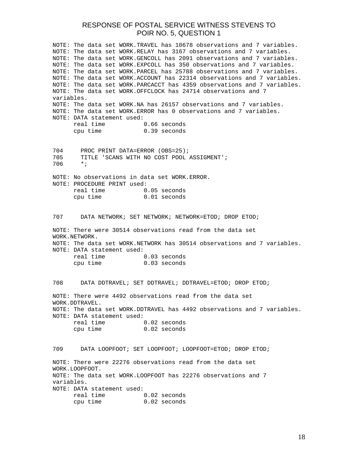NOTE: The data set WORK.TRAVEL has 10678 observations and 7 variables. NOTE: The data set WORK.RELAY has 3167 observations and 7 variables. NOTE: The data set WORK.GENCOLL has 2091 observations and 7 variables. NOTE: The data set WORK.EXPCOLL has 350 observations and 7 variables. NOTE: The data set WORK.PARCEL has 25788 observations and 7 variables. NOTE: The data set WORK.ACCOUNT has 22314 observations and 7 variables. NOTE: The data set WORK.PARCACCT has 4359 observations and 7 variables. NOTE: The data set WORK.OFFCLOCK has 24714 observations and 7 variables. NOTE: The data set WORK.NA has 26157 observations and 7 variables. NOTE: The data set WORK.ERROR has 0 observations and 7 variables. NOTE: DATA statement used: real time 0.66 seconds cpu time 0.39 seconds 704 PROC PRINT DATA=ERROR (OBS=25); 705 TITLE 'SCANS WITH NO COST POOL ASSIGMENT'; 706 \*; NOTE: No observations in data set WORK.ERROR. NOTE: PROCEDURE PRINT used: real time 0.05 seconds cpu time 0.01 seconds 707 DATA NETWORK; SET NETWORK; NETWORK=ETOD; DROP ETOD; NOTE: There were 30514 observations read from the data set WORK.NETWORK. NOTE: The data set WORK.NETWORK has 30514 observations and 7 variables. NOTE: DATA statement used: real time 0.03 seconds cpu time 0.03 seconds 708 DATA DDTRAVEL; SET DDTRAVEL; DDTRAVEL=ETOD; DROP ETOD; NOTE: There were 4492 observations read from the data set WORK.DDTRAVEL. NOTE: The data set WORK.DDTRAVEL has 4492 observations and 7 variables. NOTE: DATA statement used: real time 0.02 seconds cpu time 0.02 seconds 709 DATA LOOPFOOT; SET LOOPFOOT; LOOPFOOT=ETOD; DROP ETOD; NOTE: There were 22276 observations read from the data set WORK.LOOPFOOT. NOTE: The data set WORK.LOOPFOOT has 22276 observations and 7 variables. NOTE: DATA statement used: real time 0.02 seconds cpu time 0.02 seconds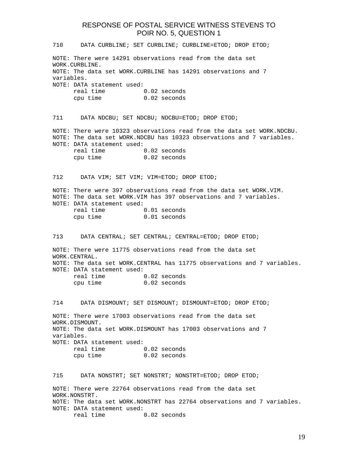710 DATA CURBLINE; SET CURBLINE; CURBLINE=ETOD; DROP ETOD; NOTE: There were 14291 observations read from the data set WORK.CURBLINE. NOTE: The data set WORK.CURBLINE has 14291 observations and 7 variables. NOTE: DATA statement used: real time 0.02 seconds cpu time 0.02 seconds 711 DATA NDCBU; SET NDCBU; NDCBU=ETOD; DROP ETOD; NOTE: There were 10323 observations read from the data set WORK.NDCBU. NOTE: The data set WORK.NDCBU has 10323 observations and 7 variables. NOTE: DATA statement used: real time 0.02 seconds cpu time 0.02 seconds 712 DATA VIM; SET VIM; VIM=ETOD; DROP ETOD; NOTE: There were 397 observations read from the data set WORK.VIM. NOTE: The data set WORK.VIM has 397 observations and 7 variables. NOTE: DATA statement used: real time 0.01 seconds cpu time 0.01 seconds 713 DATA CENTRAL; SET CENTRAL; CENTRAL=ETOD; DROP ETOD; NOTE: There were 11775 observations read from the data set WORK.CENTRAL. NOTE: The data set WORK.CENTRAL has 11775 observations and 7 variables. NOTE: DATA statement used: real time 0.02 seconds cpu time 0.02 seconds 714 DATA DISMOUNT; SET DISMOUNT; DISMOUNT=ETOD; DROP ETOD; NOTE: There were 17003 observations read from the data set WORK.DISMOUNT. NOTE: The data set WORK.DISMOUNT has 17003 observations and 7 variables. NOTE: DATA statement used: real time 0.02 seconds cpu time 0.02 seconds 715 DATA NONSTRT; SET NONSTRT; NONSTRT=ETOD; DROP ETOD; NOTE: There were 22764 observations read from the data set WORK.NONSTRT. NOTE: The data set WORK.NONSTRT has 22764 observations and 7 variables. NOTE: DATA statement used: real time 0.02 seconds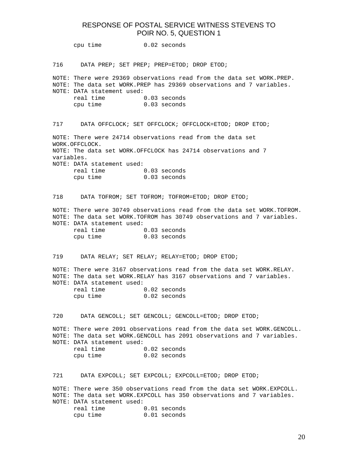cpu time 0.02 seconds 716 DATA PREP; SET PREP; PREP=ETOD; DROP ETOD; NOTE: There were 29369 observations read from the data set WORK.PREP. NOTE: The data set WORK.PREP has 29369 observations and 7 variables. NOTE: DATA statement used: real time 0.03 seconds cpu time 0.03 seconds 717 DATA OFFCLOCK; SET OFFCLOCK; OFFCLOCK=ETOD; DROP ETOD; NOTE: There were 24714 observations read from the data set WORK.OFFCLOCK. NOTE: The data set WORK.OFFCLOCK has 24714 observations and 7 variables. NOTE: DATA statement used: real time 0.03 seconds cpu time 0.03 seconds 718 DATA TOFROM; SET TOFROM; TOFROM=ETOD; DROP ETOD; NOTE: There were 30749 observations read from the data set WORK.TOFROM. NOTE: The data set WORK.TOFROM has 30749 observations and 7 variables. NOTE: DATA statement used: real time 0.03 seconds cpu time 0.03 seconds 719 DATA RELAY; SET RELAY; RELAY=ETOD; DROP ETOD; NOTE: There were 3167 observations read from the data set WORK.RELAY. NOTE: The data set WORK.RELAY has 3167 observations and 7 variables. NOTE: DATA statement used: real time 0.02 seconds cpu time 0.02 seconds 720 DATA GENCOLL; SET GENCOLL; GENCOLL=ETOD; DROP ETOD; NOTE: There were 2091 observations read from the data set WORK.GENCOLL. NOTE: The data set WORK.GENCOLL has 2091 observations and 7 variables. NOTE: DATA statement used: real time 0.02 seconds cpu time 0.02 seconds 721 DATA EXPCOLL; SET EXPCOLL; EXPCOLL=ETOD; DROP ETOD; NOTE: There were 350 observations read from the data set WORK.EXPCOLL. NOTE: The data set WORK.EXPCOLL has 350 observations and 7 variables. NOTE: DATA statement used: real time 0.01 seconds cpu time 0.01 seconds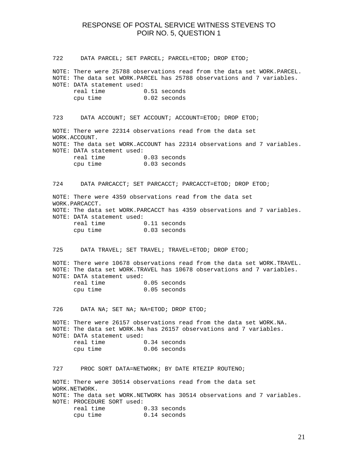722 DATA PARCEL; SET PARCEL; PARCEL=ETOD; DROP ETOD; NOTE: There were 25788 observations read from the data set WORK.PARCEL. NOTE: The data set WORK.PARCEL has 25788 observations and 7 variables. NOTE: DATA statement used: real time 0.51 seconds cpu time 0.02 seconds 723 DATA ACCOUNT; SET ACCOUNT; ACCOUNT=ETOD; DROP ETOD; NOTE: There were 22314 observations read from the data set WORK.ACCOUNT. NOTE: The data set WORK.ACCOUNT has 22314 observations and 7 variables. NOTE: DATA statement used: real time 0.03 seconds cpu time 0.03 seconds 724 DATA PARCACCT; SET PARCACCT; PARCACCT=ETOD; DROP ETOD; NOTE: There were 4359 observations read from the data set WORK.PARCACCT. NOTE: The data set WORK.PARCACCT has 4359 observations and 7 variables. NOTE: DATA statement used: real time 0.11 seconds cpu time 0.03 seconds 725 DATA TRAVEL; SET TRAVEL; TRAVEL=ETOD; DROP ETOD; NOTE: There were 10678 observations read from the data set WORK.TRAVEL. NOTE: The data set WORK.TRAVEL has 10678 observations and 7 variables. NOTE: DATA statement used: real time 0.05 seconds cpu time 0.05 seconds 726 DATA NA; SET NA; NA=ETOD; DROP ETOD; NOTE: There were 26157 observations read from the data set WORK.NA. NOTE: The data set WORK.NA has 26157 observations and 7 variables. NOTE: DATA statement used: real time 0.34 seconds cpu time 0.06 seconds 727 PROC SORT DATA=NETWORK; BY DATE RTEZIP ROUTENO; NOTE: There were 30514 observations read from the data set WORK.NETWORK. NOTE: The data set WORK.NETWORK has 30514 observations and 7 variables. NOTE: PROCEDURE SORT used: real time 0.33 seconds cpu time 0.14 seconds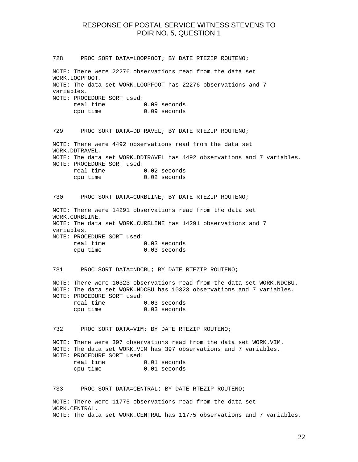728 PROC SORT DATA=LOOPFOOT; BY DATE RTEZIP ROUTENO; NOTE: There were 22276 observations read from the data set WORK.LOOPFOOT. NOTE: The data set WORK.LOOPFOOT has 22276 observations and 7 variables. NOTE: PROCEDURE SORT used: real time 0.09 seconds cpu time 0.09 seconds 729 PROC SORT DATA=DDTRAVEL; BY DATE RTEZIP ROUTENO; NOTE: There were 4492 observations read from the data set WORK.DDTRAVEL. NOTE: The data set WORK.DDTRAVEL has 4492 observations and 7 variables. NOTE: PROCEDURE SORT used: real time 0.02 seconds cpu time 0.02 seconds 730 PROC SORT DATA=CURBLINE; BY DATE RTEZIP ROUTENO; NOTE: There were 14291 observations read from the data set WORK.CURBLINE. NOTE: The data set WORK.CURBLINE has 14291 observations and 7 variables. NOTE: PROCEDURE SORT used: real time 0.03 seconds cpu time 0.03 seconds 731 PROC SORT DATA=NDCBU; BY DATE RTEZIP ROUTENO; NOTE: There were 10323 observations read from the data set WORK.NDCBU. NOTE: The data set WORK.NDCBU has 10323 observations and 7 variables. NOTE: PROCEDURE SORT used: real time 0.03 seconds cpu time 0.03 seconds 732 PROC SORT DATA=VIM; BY DATE RTEZIP ROUTENO; NOTE: There were 397 observations read from the data set WORK.VIM. NOTE: The data set WORK.VIM has 397 observations and 7 variables. NOTE: PROCEDURE SORT used: real time 0.01 seconds cpu time 0.01 seconds 733 PROC SORT DATA=CENTRAL; BY DATE RTEZIP ROUTENO; NOTE: There were 11775 observations read from the data set

WORK.CENTRAL. NOTE: The data set WORK.CENTRAL has 11775 observations and 7 variables.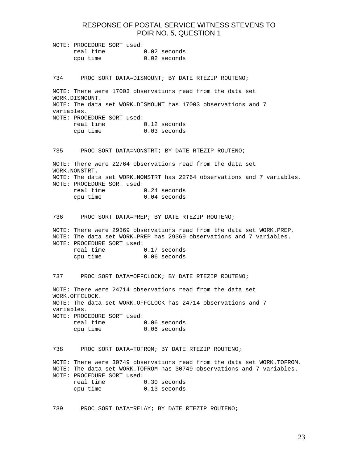| NOTE: PROCEDURE SORT used: |  |                |
|----------------------------|--|----------------|
| real time                  |  | $0.02$ seconds |
| cpu time                   |  | $0.02$ seconds |

734 PROC SORT DATA=DISMOUNT; BY DATE RTEZIP ROUTENO;

NOTE: There were 17003 observations read from the data set WORK.DISMOUNT. NOTE: The data set WORK.DISMOUNT has 17003 observations and 7 variables. NOTE: PROCEDURE SORT used: real time 0.12 seconds cpu time 0.03 seconds

735 PROC SORT DATA=NONSTRT; BY DATE RTEZIP ROUTENO;

NOTE: There were 22764 observations read from the data set WORK.NONSTRT. NOTE: The data set WORK.NONSTRT has 22764 observations and 7 variables. NOTE: PROCEDURE SORT used: real time 0.24 seconds cpu time 0.04 seconds

736 PROC SORT DATA=PREP; BY DATE RTEZIP ROUTENO;

NOTE: There were 29369 observations read from the data set WORK.PREP. NOTE: The data set WORK.PREP has 29369 observations and 7 variables. NOTE: PROCEDURE SORT used:

| real time | 0.17 seconds   |
|-----------|----------------|
| cpu time  | $0.06$ seconds |

737 PROC SORT DATA=OFFCLOCK; BY DATE RTEZIP ROUTENO;

NOTE: There were 24714 observations read from the data set WORK.OFFCLOCK. NOTE: The data set WORK.OFFCLOCK has 24714 observations and 7 variables. NOTE: PROCEDURE SORT used: real time 0.06 seconds cpu time 0.06 seconds

738 PROC SORT DATA=TOFROM; BY DATE RTEZIP ROUTENO;

NOTE: There were 30749 observations read from the data set WORK.TOFROM. NOTE: The data set WORK.TOFROM has 30749 observations and 7 variables. NOTE: PROCEDURE SORT used: real time 0.30 seconds cpu time 0.13 seconds

739 PROC SORT DATA=RELAY; BY DATE RTEZIP ROUTENO;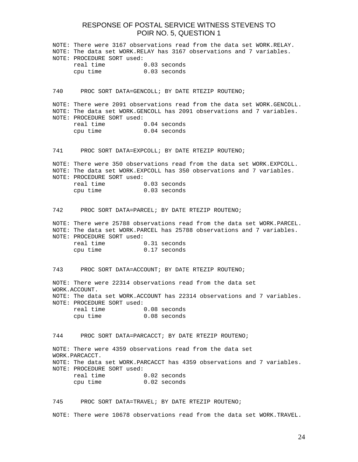|     | NOTE: There were 3167 observations read from the data set WORK.RELAY.<br>NOTE: The data set WORK.RELAY has 3167 observations and 7 variables.<br>NOTE: PROCEDURE SORT used:                               |                                                                                                                                                  |  |  |  |
|-----|-----------------------------------------------------------------------------------------------------------------------------------------------------------------------------------------------------------|--------------------------------------------------------------------------------------------------------------------------------------------------|--|--|--|
|     | real time 0.03 seconds                                                                                                                                                                                    |                                                                                                                                                  |  |  |  |
|     | cpu time 0.03 seconds                                                                                                                                                                                     |                                                                                                                                                  |  |  |  |
| 740 |                                                                                                                                                                                                           | PROC SORT DATA=GENCOLL; BY DATE RTEZIP ROUTENO;                                                                                                  |  |  |  |
|     | NOTE: There were 2091 observations read from the data set WORK.GENCOLL.<br>NOTE: The data set WORK.GENCOLL has 2091 observations and 7 variables.<br>NOTE: PROCEDURE SORT used:<br>real time 0.04 seconds |                                                                                                                                                  |  |  |  |
|     | cpu time                                                                                                                                                                                                  | 0.04 seconds                                                                                                                                     |  |  |  |
| 741 |                                                                                                                                                                                                           | PROC SORT DATA=EXPCOLL; BY DATE RTEZIP ROUTENO;                                                                                                  |  |  |  |
|     | NOTE: PROCEDURE SORT used:                                                                                                                                                                                | NOTE: There were 350 observations read from the data set WORK.EXPCOLL.<br>NOTE: The data set WORK. EXPCOLL has 350 observations and 7 variables. |  |  |  |
|     | real time 0.03 seconds                                                                                                                                                                                    |                                                                                                                                                  |  |  |  |
|     | cpu time 0.03 seconds                                                                                                                                                                                     |                                                                                                                                                  |  |  |  |
| 742 |                                                                                                                                                                                                           | PROC SORT DATA=PARCEL; BY DATE RTEZIP ROUTENO;                                                                                                   |  |  |  |
|     | NOTE: There were 25788 observations read from the data set WORK. PARCEL.<br>NOTE: The data set WORK. PARCEL has 25788 observations and 7 variables.<br>NOTE: PROCEDURE SORT used:                         |                                                                                                                                                  |  |  |  |
|     | real time 0.31 seconds<br>cpu time                                                                                                                                                                        | 0.17 seconds                                                                                                                                     |  |  |  |
| 743 |                                                                                                                                                                                                           | PROC SORT DATA=ACCOUNT; BY DATE RTEZIP ROUTENO;                                                                                                  |  |  |  |
|     | WORK.ACCOUNT.                                                                                                                                                                                             | NOTE: There were 22314 observations read from the data set                                                                                       |  |  |  |
|     | NOTE: PROCEDURE SORT used:                                                                                                                                                                                | NOTE: The data set WORK.ACCOUNT has 22314 observations and 7 variables.                                                                          |  |  |  |
|     | real time                                                                                                                                                                                                 | 0.08 seconds                                                                                                                                     |  |  |  |
|     | cpu time                                                                                                                                                                                                  | 0.08 seconds                                                                                                                                     |  |  |  |
| 744 |                                                                                                                                                                                                           | PROC SORT DATA=PARCACCT; BY DATE RTEZIP ROUTENO;                                                                                                 |  |  |  |
|     | WORK.PARCACCT.                                                                                                                                                                                            | NOTE: There were 4359 observations read from the data set                                                                                        |  |  |  |
|     | NOTE: PROCEDURE SORT used:                                                                                                                                                                                | NOTE: The data set WORK. PARCACCT has 4359 observations and 7 variables.                                                                         |  |  |  |
|     | real time                                                                                                                                                                                                 | $0.02$ seconds                                                                                                                                   |  |  |  |
|     | cpu time                                                                                                                                                                                                  | $0.02$ seconds                                                                                                                                   |  |  |  |
|     |                                                                                                                                                                                                           | 745 PROC SORT DATA=TRAVEL; BY DATE RTEZIP ROUTENO;                                                                                               |  |  |  |

NOTE: There were 10678 observations read from the data set WORK.TRAVEL.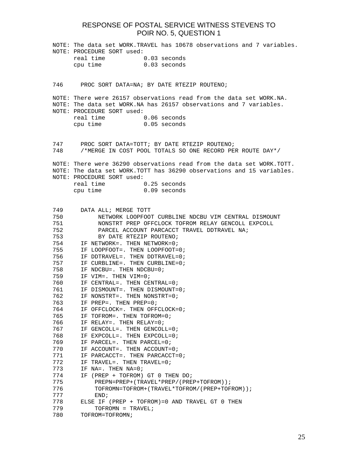|            | NOTE: The data set WORK.TRAVEL has 10678 observations and 7 variables.<br>NOTE: PROCEDURE SORT used:<br>real time<br>0.03 seconds                                                                                                    |  |  |  |  |
|------------|--------------------------------------------------------------------------------------------------------------------------------------------------------------------------------------------------------------------------------------|--|--|--|--|
|            | cpu time<br>$0.03$ seconds                                                                                                                                                                                                           |  |  |  |  |
| 746        | PROC SORT DATA=NA; BY DATE RTEZIP ROUTENO;                                                                                                                                                                                           |  |  |  |  |
|            |                                                                                                                                                                                                                                      |  |  |  |  |
|            | NOTE: There were 26157 observations read from the data set WORK.NA.<br>NOTE: The data set WORK.NA has 26157 observations and 7 variables.<br>NOTE: PROCEDURE SORT used:<br>real time<br>$0.06$ seconds<br>cpu time<br>$0.05$ seconds |  |  |  |  |
| 748        | 747     PROC SORT DATA=TOTT; BY DATE RTEZIP ROUTENO;<br>/*MERGE IN COST POOL TOTALS SO ONE RECORD PER ROUTE DAY*/                                                                                                                    |  |  |  |  |
|            |                                                                                                                                                                                                                                      |  |  |  |  |
|            | NOTE: There were 36290 observations read from the data set WORK.TOTT.<br>NOTE: The data set WORK.TOTT has 36290 observations and 15 variables.<br>NOTE: PROCEDURE SORT used:                                                         |  |  |  |  |
|            | real time<br>0.25 seconds                                                                                                                                                                                                            |  |  |  |  |
|            | cpu time<br>$0.09$ seconds                                                                                                                                                                                                           |  |  |  |  |
|            |                                                                                                                                                                                                                                      |  |  |  |  |
| 749        | DATA ALL; MERGE TOTT                                                                                                                                                                                                                 |  |  |  |  |
| 750        | NETWORK LOOPFOOT CURBLINE NDCBU VIM CENTRAL DISMOUNT                                                                                                                                                                                 |  |  |  |  |
| 751<br>752 | NONSTRT PREP OFFCLOCK TOFROM RELAY GENCOLL EXPCOLL<br>PARCEL ACCOUNT PARCACCT TRAVEL DDTRAVEL NA;                                                                                                                                    |  |  |  |  |
| 753        | BY DATE RTEZIP ROUTENO;                                                                                                                                                                                                              |  |  |  |  |
| 754        | IF NETWORK=. THEN NETWORK=0;                                                                                                                                                                                                         |  |  |  |  |
| 755        | IF LOOPFOOT=. THEN LOOPFOOT=0;                                                                                                                                                                                                       |  |  |  |  |
| 756        | IF DDTRAVEL=. THEN DDTRAVEL=0;                                                                                                                                                                                                       |  |  |  |  |
| 757        | IF CURBLINE=. THEN CURBLINE=0;                                                                                                                                                                                                       |  |  |  |  |
| 758        | IF NDCBU=. THEN NDCBU=0;                                                                                                                                                                                                             |  |  |  |  |
| 759        | IF VIM=. THEN VIM=0;                                                                                                                                                                                                                 |  |  |  |  |
| 760        | IF CENTRAL=. THEN CENTRAL=0;                                                                                                                                                                                                         |  |  |  |  |
| 761        | IF DISMOUNT=. THEN DISMOUNT=0;                                                                                                                                                                                                       |  |  |  |  |
| 762        | IF NONSTRT=. THEN NONSTRT=0;<br>IF PREP=. THEN PREP=0;                                                                                                                                                                               |  |  |  |  |
| 763<br>764 | IF OFFCLOCK=. THEN OFFCLOCK=0;                                                                                                                                                                                                       |  |  |  |  |
| 765        | IF TOFROM=. THEN TOFROM=0;                                                                                                                                                                                                           |  |  |  |  |
| 766        | IF RELAY=. THEN RELAY=0;                                                                                                                                                                                                             |  |  |  |  |
| 767        | IF GENCOLL=. THEN GENCOLL=0;                                                                                                                                                                                                         |  |  |  |  |
| 768        | IF EXPCOLL=. THEN EXPCOLL=0;                                                                                                                                                                                                         |  |  |  |  |
| 769        | IF PARCEL=. THEN PARCEL=0;                                                                                                                                                                                                           |  |  |  |  |
| 770        | IF ACCOUNT=. THEN ACCOUNT=0;                                                                                                                                                                                                         |  |  |  |  |
| 771        | IF PARCACCT=. THEN PARCACCT=0;                                                                                                                                                                                                       |  |  |  |  |
| 772        | IF TRAVEL=. THEN TRAVEL=0;                                                                                                                                                                                                           |  |  |  |  |
| 773<br>774 | IF NA=. THEN NA=0;<br>IF (PREP + TOFROM) GT 0 THEN DO;                                                                                                                                                                               |  |  |  |  |
| 775        | PREPN=PREP+(TRAVEL*PREP/(PREP+TOFROM));                                                                                                                                                                                              |  |  |  |  |
| 776        | TOFROMN=TOFROM+(TRAVEL*TOFROM/(PREP+TOFROM));                                                                                                                                                                                        |  |  |  |  |
| 777        | END;                                                                                                                                                                                                                                 |  |  |  |  |
| 778        | ELSE IF (PREP + TOFROM)=0 AND TRAVEL GT 0 THEN                                                                                                                                                                                       |  |  |  |  |
| 779        | TOFROMN = TRAVEL;                                                                                                                                                                                                                    |  |  |  |  |
| 780        | TOFROM=TOFROMN;                                                                                                                                                                                                                      |  |  |  |  |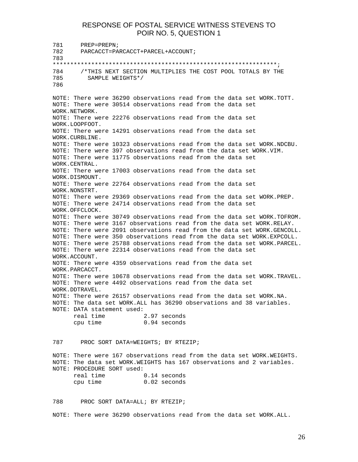781 PREP=PREPN; 782 PARCACCT=PARCACCT+PARCEL+ACCOUNT; 783 \*\*\*\*\*\*\*\*\*\*\*\*\*\*\*\*\*\*\*\*\*\*\*\*\*\*\*\*\*\*\*\*\*\*\*\*\*\*\*\*\*\*\*\*\*\*\*\*\*\*\*\*\*\*\*\*\*\*\*\*\*\*\*\*; 784 /\*THIS NEXT SECTION MULTIPLIES THE COST POOL TOTALS BY THE 785 SAMPLE WEIGHTS\*/ 786 NOTE: There were 36290 observations read from the data set WORK.TOTT. NOTE: There were 30514 observations read from the data set WORK.NETWORK. NOTE: There were 22276 observations read from the data set WORK.LOOPFOOT. NOTE: There were 14291 observations read from the data set WORK.CURBLINE. NOTE: There were 10323 observations read from the data set WORK.NDCBU. NOTE: There were 397 observations read from the data set WORK.VIM. NOTE: There were 11775 observations read from the data set WORK.CENTRAL. NOTE: There were 17003 observations read from the data set WORK.DISMOUNT. NOTE: There were 22764 observations read from the data set WORK.NONSTRT. NOTE: There were 29369 observations read from the data set WORK.PREP. NOTE: There were 24714 observations read from the data set WORK.OFFCLOCK. NOTE: There were 30749 observations read from the data set WORK.TOFROM. NOTE: There were 3167 observations read from the data set WORK.RELAY. NOTE: There were 2091 observations read from the data set WORK.GENCOLL. NOTE: There were 350 observations read from the data set WORK.EXPCOLL. NOTE: There were 25788 observations read from the data set WORK.PARCEL. NOTE: There were 22314 observations read from the data set WORK.ACCOUNT. NOTE: There were 4359 observations read from the data set WORK.PARCACCT. NOTE: There were 10678 observations read from the data set WORK.TRAVEL. NOTE: There were 4492 observations read from the data set WORK.DDTRAVEL. NOTE: There were 26157 observations read from the data set WORK.NA. NOTE: The data set WORK.ALL has 36290 observations and 38 variables. NOTE: DATA statement used: real time 2.97 seconds cpu time 0.94 seconds 787 PROC SORT DATA=WEIGHTS; BY RTEZIP; NOTE: There were 167 observations read from the data set WORK.WEIGHTS. NOTE: The data set WORK.WEIGHTS has 167 observations and 2 variables. NOTE: PROCEDURE SORT used: real time 0.14 seconds cpu time 0.02 seconds 788 PROC SORT DATA=ALL; BY RTEZIP; NOTE: There were 36290 observations read from the data set WORK.ALL.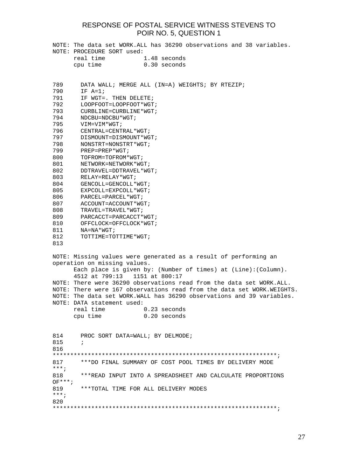|            | NOTE: PROCEDURE SORT used:                       | NOTE: The data set WORK.ALL has 36290 observations and 38 variables.    |
|------------|--------------------------------------------------|-------------------------------------------------------------------------|
|            | real time                                        | 1.48 seconds                                                            |
|            | cpu time                                         | $0.30$ seconds                                                          |
|            |                                                  |                                                                         |
| 789        |                                                  | DATA WALL; MERGE ALL (IN=A) WEIGHTS; BY RTEZIP;                         |
| 790        | $IF A=1;$                                        |                                                                         |
| 791        | IF WGT=. THEN DELETE;                            |                                                                         |
| 792        | LOOPFOOT=LOOPFOOT*WGT;                           |                                                                         |
| 793<br>794 | CURBLINE=CURBLINE * WGT;                         |                                                                         |
| 795        | NDCBU=NDCBU*WGT;<br>VIM=VIM*WGT;                 |                                                                         |
| 796        | CENTRAL=CENTRAL*WGT;                             |                                                                         |
| 797        | DISMOUNT=DISMOUNT*WGT;                           |                                                                         |
| 798        | NONSTRT=NONSTRT*WGT;                             |                                                                         |
| 799        | $PREP = PREP * WGT;$                             |                                                                         |
| 800        | TOFROM=TOFROM*WGT;                               |                                                                         |
| 801        | NETWORK=NETWORK * WGT;                           |                                                                         |
| 802<br>803 | DDTRAVEL=DDTRAVEL*WGT;<br>$RELAY = RELAY * WGT;$ |                                                                         |
| 804        | GENCOLL=GENCOLL*WGT;                             |                                                                         |
| 805        | EXPCOLL=EXPCOLL*WGT;                             |                                                                         |
| 806        | PARCEL=PARCEL*WGT;                               |                                                                         |
| 807        | ACCOUNT=ACCOUNT*WGT;                             |                                                                         |
| 808        | TRAVEL=TRAVEL*WGT;                               |                                                                         |
| 809        | PARCACCT=PARCACCT*WGT;                           |                                                                         |
| 810        | OFFCLOCK=OFFCLOCK*WGT;                           |                                                                         |
| 811<br>812 | $NA = NA * WGT;$<br>TOTTIME=TOTTIME*WGT;         |                                                                         |
| 813        |                                                  |                                                                         |
|            |                                                  |                                                                         |
|            | operation on missing values.                     | NOTE: Missing values were generated as a result of performing an        |
|            |                                                  | Each place is given by: (Number of times) at (Line): (Column).          |
|            | 4512 at 799:13 1151 at 800:17                    |                                                                         |
|            |                                                  | NOTE: There were 36290 observations read from the data set WORK. ALL.   |
|            |                                                  | NOTE: There were 167 observations read from the data set WORK. WEIGHTS. |
|            |                                                  | NOTE: The data set WORK. WALL has 36290 observations and 39 variables.  |
|            | NOTE: DATA statement used:                       |                                                                         |
|            | real time                                        | $0.23$ seconds<br>0.20 seconds                                          |
|            | cpu time                                         |                                                                         |
|            |                                                  |                                                                         |
| 814        |                                                  | PROC SORT DATA=WALL; BY DELMODE;                                        |
| 815        | $\cdot$                                          |                                                                         |
| 816        |                                                  |                                                                         |
| 817        |                                                  |                                                                         |
| $***;$     |                                                  | ***DO FINAL SUMMARY OF COST POOL TIMES BY DELIVERY MODE                 |
| 818        |                                                  | ***READ INPUT INTO A SPREADSHEET AND CALCULATE PROPORTIONS              |
| $OF***;$   |                                                  |                                                                         |
| 819        |                                                  | ***TOTAL TIME FOR ALL DELIVERY MODES                                    |
| $***$ ;    |                                                  |                                                                         |
| 820        |                                                  |                                                                         |
|            |                                                  |                                                                         |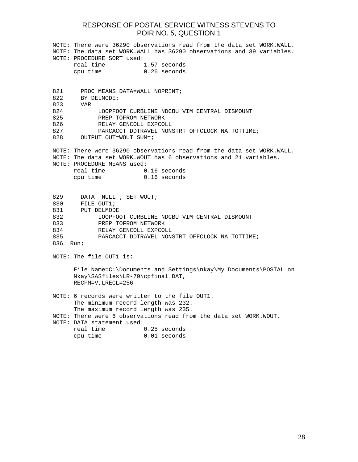|                            | NOTE: There were 36290 observations read from the data set WORK.WALL. |                                                                       |  |  |  |
|----------------------------|-----------------------------------------------------------------------|-----------------------------------------------------------------------|--|--|--|
|                            | NOTE: The data set WORK.WALL has 36290 observations and 39 variables. |                                                                       |  |  |  |
|                            | NOTE: PROCEDURE SORT used:                                            |                                                                       |  |  |  |
|                            | real time                                                             | 1.57 seconds                                                          |  |  |  |
|                            | cpu time                                                              | $0.26$ seconds                                                        |  |  |  |
|                            |                                                                       |                                                                       |  |  |  |
|                            |                                                                       |                                                                       |  |  |  |
| 821                        | PROC MEANS DATA=WALL NOPRINT;                                         |                                                                       |  |  |  |
| 822                        | BY DELMODE;                                                           |                                                                       |  |  |  |
| 823                        | VAR                                                                   |                                                                       |  |  |  |
| 824                        |                                                                       | LOOPFOOT CURBLINE NDCBU VIM CENTRAL DISMOUNT                          |  |  |  |
| 825<br>PREP TOFROM NETWORK |                                                                       |                                                                       |  |  |  |
| 826                        | RELAY GENCOLL EXPCOLL                                                 |                                                                       |  |  |  |
| 827                        |                                                                       | PARCACCT DDTRAVEL NONSTRT OFFCLOCK NA TOTTIME;                        |  |  |  |
| 828                        | OUTPUT OUT=WOUT SUM=;                                                 |                                                                       |  |  |  |
|                            |                                                                       |                                                                       |  |  |  |
|                            |                                                                       | NOTE: There were 36290 observations read from the data set WORK.WALL. |  |  |  |
|                            |                                                                       | NOTE: The data set WORK.WOUT has 6 observations and 21 variables.     |  |  |  |
|                            | NOTE: PROCEDURE MEANS used:                                           |                                                                       |  |  |  |
|                            | real time                                                             | $0.16$ seconds                                                        |  |  |  |
|                            | cpu time                                                              | $0.16$ seconds                                                        |  |  |  |
|                            |                                                                       |                                                                       |  |  |  |
|                            |                                                                       |                                                                       |  |  |  |
| 829                        | DATA NULL ; SET WOUT;                                                 |                                                                       |  |  |  |
| 830                        | FILE OUT1;                                                            |                                                                       |  |  |  |
|                            |                                                                       |                                                                       |  |  |  |
| 831                        | PUT DELMODE                                                           |                                                                       |  |  |  |
| 832                        |                                                                       | LOOPFOOT CURBLINE NDCBU VIM CENTRAL DISMOUNT                          |  |  |  |
| 833                        | PREP TOFROM NETWORK                                                   |                                                                       |  |  |  |
| 834                        | RELAY GENCOLL EXPCOLL                                                 |                                                                       |  |  |  |
| 835                        |                                                                       | PARCACCT DDTRAVEL NONSTRT OFFCLOCK NA TOTTIME;                        |  |  |  |
| 836                        | Run;                                                                  |                                                                       |  |  |  |
|                            |                                                                       |                                                                       |  |  |  |
|                            | NOTE: The file OUT1 is:                                               |                                                                       |  |  |  |
|                            |                                                                       |                                                                       |  |  |  |
|                            |                                                                       | File Name=C:\Documents and Settings\nkay\My Documents\POSTAL on       |  |  |  |
|                            | Nkay\SASfiles\LR-79\cpfinal.DAT,                                      |                                                                       |  |  |  |
|                            | RECFM=V, LRECL=256                                                    |                                                                       |  |  |  |
|                            |                                                                       |                                                                       |  |  |  |
|                            |                                                                       | NOTE: 6 records were written to the file OUT1.                        |  |  |  |
|                            | The minimum record length was 232.                                    |                                                                       |  |  |  |
|                            | The maximum record length was 235.                                    |                                                                       |  |  |  |
|                            |                                                                       | NOTE: There were 6 observations read from the data set WORK.WOUT.     |  |  |  |
|                            | NOTE: DATA statement used:                                            |                                                                       |  |  |  |
|                            |                                                                       |                                                                       |  |  |  |
|                            | real time                                                             | $0.25$ seconds                                                        |  |  |  |
|                            | cpu time                                                              | $0.01$ seconds                                                        |  |  |  |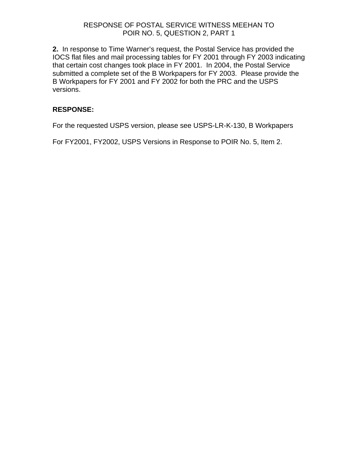### RESPONSE OF POSTAL SERVICE WITNESS MEEHAN TO POIR NO. 5, QUESTION 2, PART 1

**2.** In response to Time Warner's request, the Postal Service has provided the IOCS flat files and mail processing tables for FY 2001 through FY 2003 indicating that certain cost changes took place in FY 2001. In 2004, the Postal Service submitted a complete set of the B Workpapers for FY 2003. Please provide the B Workpapers for FY 2001 and FY 2002 for both the PRC and the USPS versions.

### **RESPONSE:**

For the requested USPS version, please see USPS-LR-K-130, B Workpapers

For FY2001, FY2002, USPS Versions in Response to POIR No. 5, Item 2.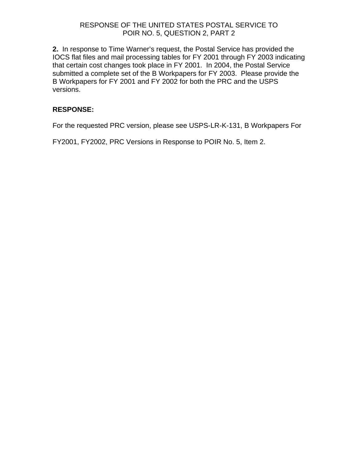### RESPONSE OF THE UNITED STATES POSTAL SERVICE TO POIR NO. 5, QUESTION 2, PART 2

**2.** In response to Time Warner's request, the Postal Service has provided the IOCS flat files and mail processing tables for FY 2001 through FY 2003 indicating that certain cost changes took place in FY 2001. In 2004, the Postal Service submitted a complete set of the B Workpapers for FY 2003. Please provide the B Workpapers for FY 2001 and FY 2002 for both the PRC and the USPS versions.

### **RESPONSE:**

For the requested PRC version, please see USPS-LR-K-131, B Workpapers For

FY2001, FY2002, PRC Versions in Response to POIR No. 5, Item 2.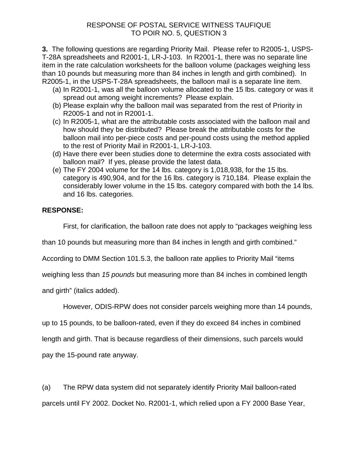**3.** The following questions are regarding Priority Mail. Please refer to R2005-1, USPS-T-28A spreadsheets and R2001-1, LR-J-103. In R2001-1, there was no separate line item in the rate calculation worksheets for the balloon volume (packages weighing less than 10 pounds but measuring more than 84 inches in length and girth combined). In R2005-1, in the USPS-T-28A spreadsheets, the balloon mail is a separate line item.

- (a) In R2001-1, was all the balloon volume allocated to the 15 lbs. category or was it spread out among weight increments? Please explain.
- (b) Please explain why the balloon mail was separated from the rest of Priority in R2005-1 and not in R2001-1.
- (c) In R2005-1, what are the attributable costs associated with the balloon mail and how should they be distributed? Please break the attributable costs for the balloon mail into per-piece costs and per-pound costs using the method applied to the rest of Priority Mail in R2001-1, LR-J-103.
- (d) Have there ever been studies done to determine the extra costs associated with balloon mail? If yes, please provide the latest data.
- (e) The FY 2004 volume for the 14 lbs. category is 1,018,938, for the 15 lbs. category is 490,904, and for the 16 lbs. category is 710,184. Please explain the considerably lower volume in the 15 lbs. category compared with both the 14 lbs. and 16 lbs. categories.

### **RESPONSE:**

First, for clarification, the balloon rate does not apply to "packages weighing less

than 10 pounds but measuring more than 84 inches in length and girth combined."

According to DMM Section 101.5.3, the balloon rate applies to Priority Mail "items

weighing less than *15 pounds* but measuring more than 84 inches in combined length

and girth" (italics added).

However, ODIS-RPW does not consider parcels weighing more than 14 pounds,

up to 15 pounds, to be balloon-rated, even if they do exceed 84 inches in combined

length and girth. That is because regardless of their dimensions, such parcels would

pay the 15-pound rate anyway.

(a) The RPW data system did not separately identify Priority Mail balloon-rated parcels until FY 2002. Docket No. R2001-1, which relied upon a FY 2000 Base Year,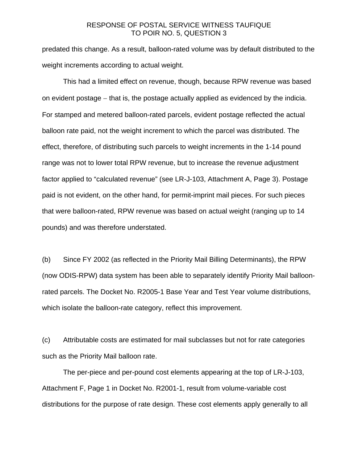predated this change. As a result, balloon-rated volume was by default distributed to the weight increments according to actual weight.

 This had a limited effect on revenue, though, because RPW revenue was based on evident postage − that is, the postage actually applied as evidenced by the indicia. For stamped and metered balloon-rated parcels, evident postage reflected the actual balloon rate paid, not the weight increment to which the parcel was distributed. The effect, therefore, of distributing such parcels to weight increments in the 1-14 pound range was not to lower total RPW revenue, but to increase the revenue adjustment factor applied to "calculated revenue" (see LR-J-103, Attachment A, Page 3). Postage paid is not evident, on the other hand, for permit-imprint mail pieces. For such pieces that were balloon-rated, RPW revenue was based on actual weight (ranging up to 14 pounds) and was therefore understated.

(b) Since FY 2002 (as reflected in the Priority Mail Billing Determinants), the RPW (now ODIS-RPW) data system has been able to separately identify Priority Mail balloonrated parcels. The Docket No. R2005-1 Base Year and Test Year volume distributions, which isolate the balloon-rate category, reflect this improvement.

(c) Attributable costs are estimated for mail subclasses but not for rate categories such as the Priority Mail balloon rate.

 The per-piece and per-pound cost elements appearing at the top of LR-J-103, Attachment F, Page 1 in Docket No. R2001-1, result from volume-variable cost distributions for the purpose of rate design. These cost elements apply generally to all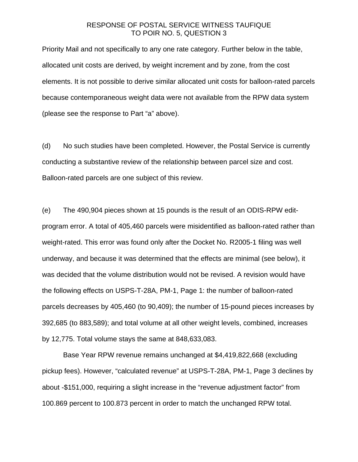Priority Mail and not specifically to any one rate category. Further below in the table, allocated unit costs are derived, by weight increment and by zone, from the cost elements. It is not possible to derive similar allocated unit costs for balloon-rated parcels because contemporaneous weight data were not available from the RPW data system (please see the response to Part "a" above).

(d) No such studies have been completed. However, the Postal Service is currently conducting a substantive review of the relationship between parcel size and cost. Balloon-rated parcels are one subject of this review.

(e) The 490,904 pieces shown at 15 pounds is the result of an ODIS-RPW editprogram error. A total of 405,460 parcels were misidentified as balloon-rated rather than weight-rated. This error was found only after the Docket No. R2005-1 filing was well underway, and because it was determined that the effects are minimal (see below), it was decided that the volume distribution would not be revised. A revision would have the following effects on USPS-T-28A, PM-1, Page 1: the number of balloon-rated parcels decreases by 405,460 (to 90,409); the number of 15-pound pieces increases by 392,685 (to 883,589); and total volume at all other weight levels, combined, increases by 12,775. Total volume stays the same at 848,633,083.

 Base Year RPW revenue remains unchanged at \$4,419,822,668 (excluding pickup fees). However, "calculated revenue" at USPS-T-28A, PM-1, Page 3 declines by about -\$151,000, requiring a slight increase in the "revenue adjustment factor" from 100.869 percent to 100.873 percent in order to match the unchanged RPW total.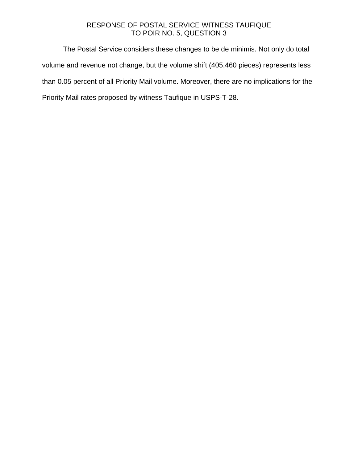The Postal Service considers these changes to be de minimis. Not only do total volume and revenue not change, but the volume shift (405,460 pieces) represents less than 0.05 percent of all Priority Mail volume. Moreover, there are no implications for the Priority Mail rates proposed by witness Taufique in USPS-T-28.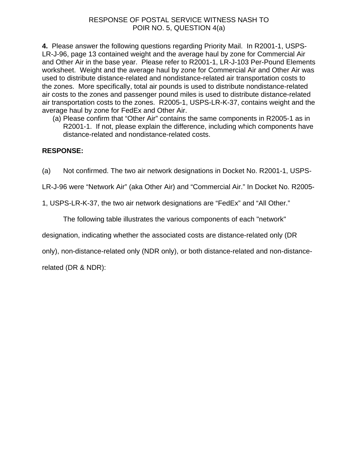**4.** Please answer the following questions regarding Priority Mail. In R2001-1, USPS-LR-J-96, page 13 contained weight and the average haul by zone for Commercial Air and Other Air in the base year. Please refer to R2001-1, LR-J-103 Per-Pound Elements worksheet. Weight and the average haul by zone for Commercial Air and Other Air was used to distribute distance-related and nondistance-related air transportation costs to the zones. More specifically, total air pounds is used to distribute nondistance-related air costs to the zones and passenger pound miles is used to distribute distance-related air transportation costs to the zones. R2005-1, USPS-LR-K-37, contains weight and the average haul by zone for FedEx and Other Air.

(a) Please confirm that "Other Air" contains the same components in R2005-1 as in R2001-1. If not, please explain the difference, including which components have distance-related and nondistance-related costs.

# **RESPONSE:**

(a) Not confirmed. The two air network designations in Docket No. R2001-1, USPS-

LR-J-96 were "Network Air" (aka Other Air) and "Commercial Air." In Docket No. R2005-

1, USPS-LR-K-37, the two air network designations are "FedEx" and "All Other."

The following table illustrates the various components of each "network"

designation, indicating whether the associated costs are distance-related only (DR

only), non-distance-related only (NDR only), or both distance-related and non-distance-

related (DR & NDR):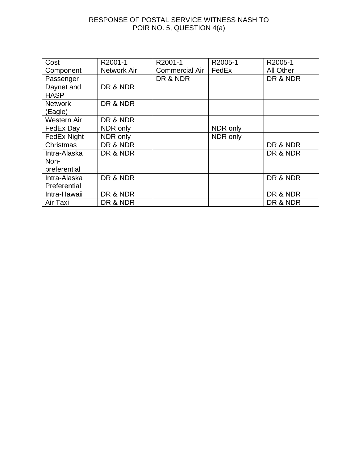| Cost           | R2001-1     | R2001-1               | R2005-1  | R2005-1          |
|----------------|-------------|-----------------------|----------|------------------|
| Component      | Network Air | <b>Commercial Air</b> | FedEx    | <b>All Other</b> |
| Passenger      |             | DR & NDR              |          | DR & NDR         |
| Daynet and     | DR & NDR    |                       |          |                  |
| <b>HASP</b>    |             |                       |          |                  |
| <b>Network</b> | DR & NDR    |                       |          |                  |
| (Eagle)        |             |                       |          |                  |
| Western Air    | DR & NDR    |                       |          |                  |
| FedEx Day      | NDR only    |                       | NDR only |                  |
| FedEx Night    | NDR only    |                       | NDR only |                  |
| Christmas      | DR & NDR    |                       |          | DR & NDR         |
| Intra-Alaska   | DR & NDR    |                       |          | DR & NDR         |
| Non-           |             |                       |          |                  |
| preferential   |             |                       |          |                  |
| Intra-Alaska   | DR & NDR    |                       |          | DR & NDR         |
| Preferential   |             |                       |          |                  |
| Intra-Hawaii   | DR & NDR    |                       |          | DR & NDR         |
| Air Taxi       | DR & NDR    |                       |          | DR & NDR         |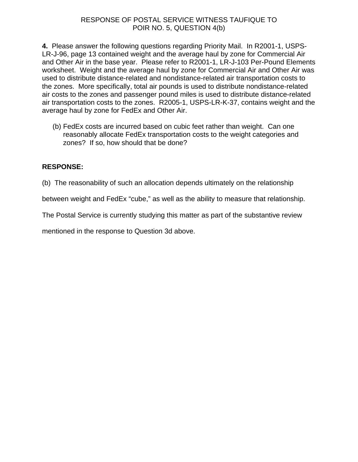**4.** Please answer the following questions regarding Priority Mail. In R2001-1, USPS-LR-J-96, page 13 contained weight and the average haul by zone for Commercial Air and Other Air in the base year. Please refer to R2001-1, LR-J-103 Per-Pound Elements worksheet. Weight and the average haul by zone for Commercial Air and Other Air was used to distribute distance-related and nondistance-related air transportation costs to the zones. More specifically, total air pounds is used to distribute nondistance-related air costs to the zones and passenger pound miles is used to distribute distance-related air transportation costs to the zones. R2005-1, USPS-LR-K-37, contains weight and the average haul by zone for FedEx and Other Air.

(b) FedEx costs are incurred based on cubic feet rather than weight. Can one reasonably allocate FedEx transportation costs to the weight categories and zones? If so, how should that be done?

### **RESPONSE:**

(b) The reasonability of such an allocation depends ultimately on the relationship

between weight and FedEx "cube," as well as the ability to measure that relationship.

The Postal Service is currently studying this matter as part of the substantive review

mentioned in the response to Question 3d above.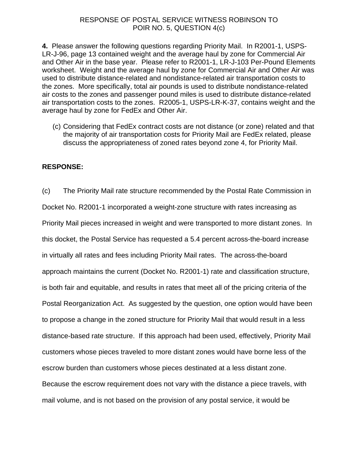#### RESPONSE OF POSTAL SERVICE WITNESS ROBINSON TO POIR NO. 5, QUESTION 4(c)

**4.** Please answer the following questions regarding Priority Mail. In R2001-1, USPS-LR-J-96, page 13 contained weight and the average haul by zone for Commercial Air and Other Air in the base year. Please refer to R2001-1, LR-J-103 Per-Pound Elements worksheet. Weight and the average haul by zone for Commercial Air and Other Air was used to distribute distance-related and nondistance-related air transportation costs to the zones. More specifically, total air pounds is used to distribute nondistance-related air costs to the zones and passenger pound miles is used to distribute distance-related air transportation costs to the zones. R2005-1, USPS-LR-K-37, contains weight and the average haul by zone for FedEx and Other Air.

(c) Considering that FedEx contract costs are not distance (or zone) related and that the majority of air transportation costs for Priority Mail are FedEx related, please discuss the appropriateness of zoned rates beyond zone 4, for Priority Mail.

### **RESPONSE:**

(c) The Priority Mail rate structure recommended by the Postal Rate Commission in Docket No. R2001-1 incorporated a weight-zone structure with rates increasing as Priority Mail pieces increased in weight and were transported to more distant zones. In this docket, the Postal Service has requested a 5.4 percent across-the-board increase in virtually all rates and fees including Priority Mail rates. The across-the-board approach maintains the current (Docket No. R2001-1) rate and classification structure, is both fair and equitable, and results in rates that meet all of the pricing criteria of the Postal Reorganization Act. As suggested by the question, one option would have been to propose a change in the zoned structure for Priority Mail that would result in a less distance-based rate structure. If this approach had been used, effectively, Priority Mail customers whose pieces traveled to more distant zones would have borne less of the escrow burden than customers whose pieces destinated at a less distant zone. Because the escrow requirement does not vary with the distance a piece travels, with mail volume, and is not based on the provision of any postal service, it would be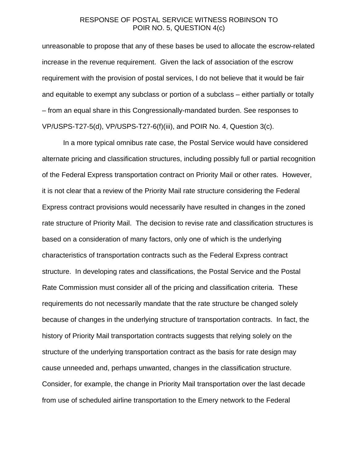### RESPONSE OF POSTAL SERVICE WITNESS ROBINSON TO POIR NO. 5, QUESTION 4(c)

unreasonable to propose that any of these bases be used to allocate the escrow-related increase in the revenue requirement. Given the lack of association of the escrow requirement with the provision of postal services, I do not believe that it would be fair and equitable to exempt any subclass or portion of a subclass – either partially or totally – from an equal share in this Congressionally-mandated burden. See responses to VP/USPS-T27-5(d), VP/USPS-T27-6(f)(iii), and POIR No. 4, Question 3(c).

In a more typical omnibus rate case, the Postal Service would have considered alternate pricing and classification structures, including possibly full or partial recognition of the Federal Express transportation contract on Priority Mail or other rates. However, it is not clear that a review of the Priority Mail rate structure considering the Federal Express contract provisions would necessarily have resulted in changes in the zoned rate structure of Priority Mail. The decision to revise rate and classification structures is based on a consideration of many factors, only one of which is the underlying characteristics of transportation contracts such as the Federal Express contract structure. In developing rates and classifications, the Postal Service and the Postal Rate Commission must consider all of the pricing and classification criteria. These requirements do not necessarily mandate that the rate structure be changed solely because of changes in the underlying structure of transportation contracts. In fact, the history of Priority Mail transportation contracts suggests that relying solely on the structure of the underlying transportation contract as the basis for rate design may cause unneeded and, perhaps unwanted, changes in the classification structure. Consider, for example, the change in Priority Mail transportation over the last decade from use of scheduled airline transportation to the Emery network to the Federal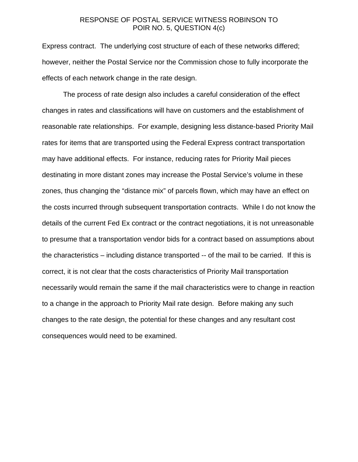### RESPONSE OF POSTAL SERVICE WITNESS ROBINSON TO POIR NO. 5, QUESTION 4(c)

Express contract. The underlying cost structure of each of these networks differed; however, neither the Postal Service nor the Commission chose to fully incorporate the effects of each network change in the rate design.

The process of rate design also includes a careful consideration of the effect changes in rates and classifications will have on customers and the establishment of reasonable rate relationships. For example, designing less distance-based Priority Mail rates for items that are transported using the Federal Express contract transportation may have additional effects. For instance, reducing rates for Priority Mail pieces destinating in more distant zones may increase the Postal Service's volume in these zones, thus changing the "distance mix" of parcels flown, which may have an effect on the costs incurred through subsequent transportation contracts. While I do not know the details of the current Fed Ex contract or the contract negotiations, it is not unreasonable to presume that a transportation vendor bids for a contract based on assumptions about the characteristics – including distance transported -- of the mail to be carried. If this is correct, it is not clear that the costs characteristics of Priority Mail transportation necessarily would remain the same if the mail characteristics were to change in reaction to a change in the approach to Priority Mail rate design. Before making any such changes to the rate design, the potential for these changes and any resultant cost consequences would need to be examined.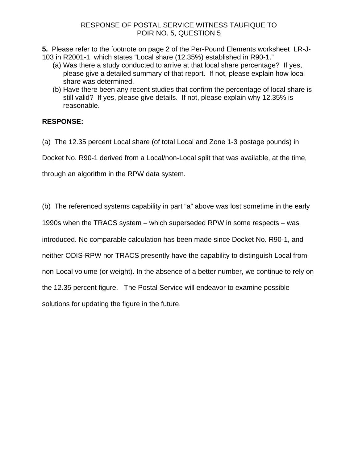**5.** Please refer to the footnote on page 2 of the Per-Pound Elements worksheet LR-J-103 in R2001-1, which states "Local share (12.35%) established in R90-1."

- (a) Was there a study conducted to arrive at that local share percentage? If yes, please give a detailed summary of that report. If not, please explain how local share was determined.
- (b) Have there been any recent studies that confirm the percentage of local share is still valid? If yes, please give details. If not, please explain why 12.35% is reasonable.

# **RESPONSE:**

(a) The 12.35 percent Local share (of total Local and Zone 1-3 postage pounds) in

Docket No. R90-1 derived from a Local/non-Local split that was available, at the time,

through an algorithm in the RPW data system.

(b) The referenced systems capability in part "a" above was lost sometime in the early

1990s when the TRACS system − which superseded RPW in some respects − was

introduced. No comparable calculation has been made since Docket No. R90-1, and

neither ODIS-RPW nor TRACS presently have the capability to distinguish Local from

non-Local volume (or weight). In the absence of a better number, we continue to rely on

the 12.35 percent figure. The Postal Service will endeavor to examine possible

solutions for updating the figure in the future.